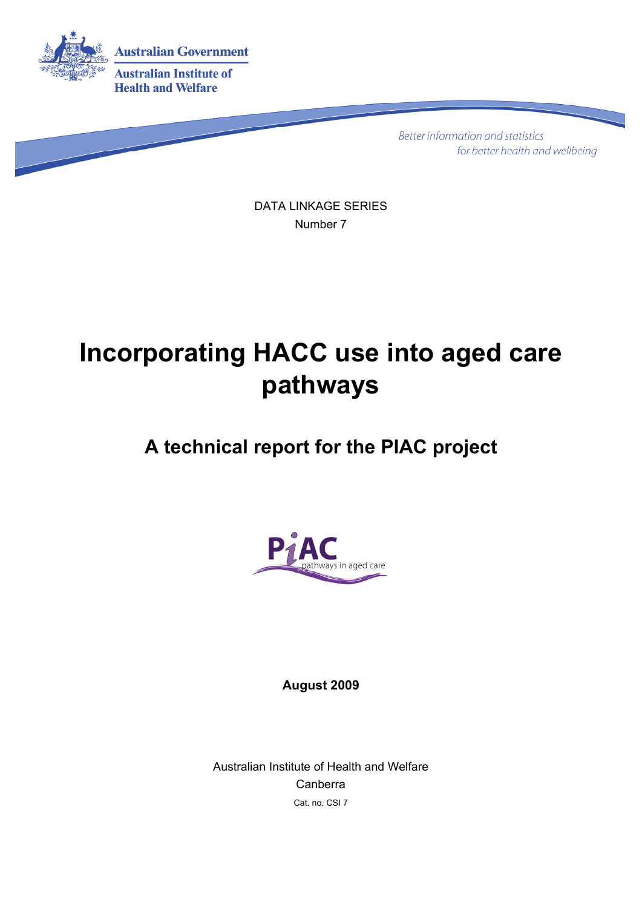

**Better information and statistics** for better health and wellbeing

DATA LINKAGE SERIES Number 7

# **Incorporating HACC use into aged care pathways**

## **A technical report for the PIAC project**



**August 2009** 

Australian Institute of Health and Welfare Canberra Cat. no. CSI 7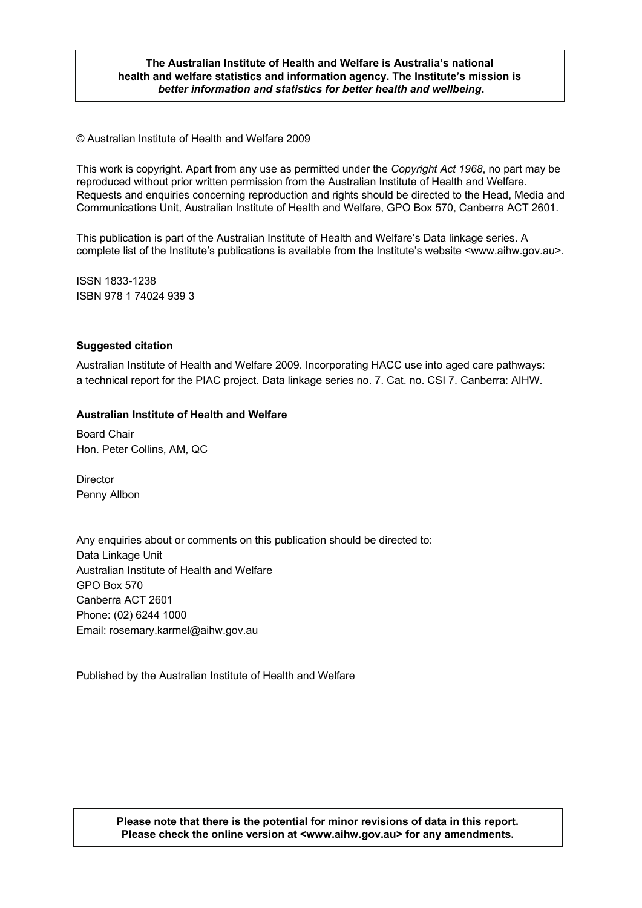#### **The Australian Institute of Health and Welfare is Australia's national health and welfare statistics and information agency. The Institute's mission is**  *better information and statistics for better health and wellbeing***.**

© Australian Institute of Health and Welfare 2009

This work is copyright. Apart from any use as permitted under the *Copyright Act 1968*, no part may be reproduced without prior written permission from the Australian Institute of Health and Welfare. Requests and enquiries concerning reproduction and rights should be directed to the Head, Media and Communications Unit, Australian Institute of Health and Welfare, GPO Box 570, Canberra ACT 2601.

This publication is part of the Australian Institute of Health and Welfare's Data linkage series. A complete list of the Institute's publications is available from the Institute's website <www.aihw.gov.au>.

ISSN 1833-1238 ISBN 978 1 74024 939 3

#### **Suggested citation**

Australian Institute of Health and Welfare 2009. Incorporating HACC use into aged care pathways: a technical report for the PIAC project. Data linkage series no. 7. Cat. no. CSI 7. Canberra: AIHW.

#### **Australian Institute of Health and Welfare**

Board Chair Hon. Peter Collins, AM, QC

**Director** Penny Allbon

Any enquiries about or comments on this publication should be directed to: Data Linkage Unit Australian Institute of Health and Welfare GPO Box 570 Canberra ACT 2601 Phone: (02) 6244 1000 Email: rosemary.karmel@aihw.gov.au

Published by the Australian Institute of Health and Welfare

#### **Please note that there is the potential for minor revisions of data in this report. Please check the online version at <www.aihw.gov.au> for any amendments.**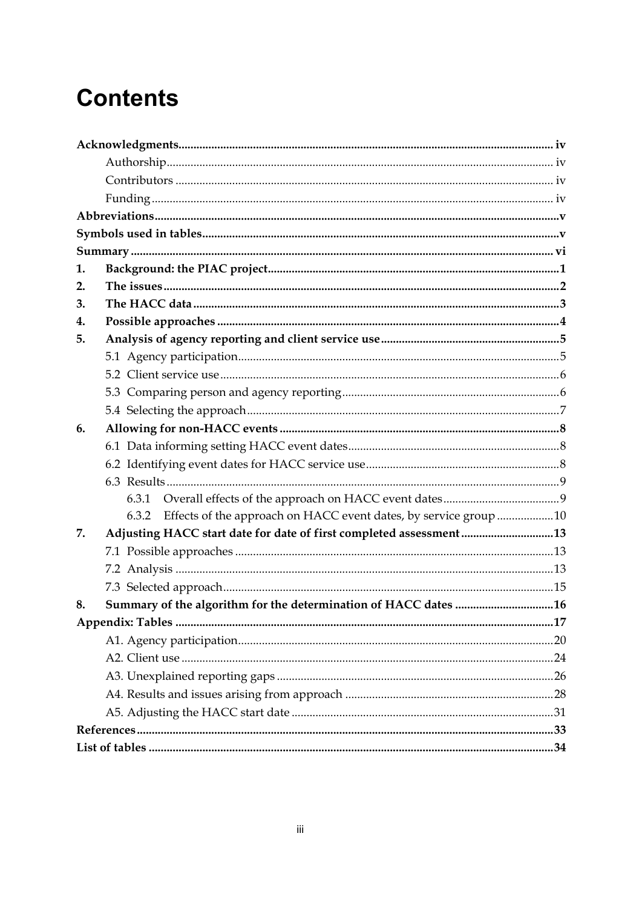# **Contents**

| 1. |       |                                                                    |  |
|----|-------|--------------------------------------------------------------------|--|
| 2. |       |                                                                    |  |
| 3. |       |                                                                    |  |
| 4. |       |                                                                    |  |
| 5. |       |                                                                    |  |
|    |       |                                                                    |  |
|    |       |                                                                    |  |
|    |       |                                                                    |  |
|    |       |                                                                    |  |
| 6. |       |                                                                    |  |
|    |       |                                                                    |  |
|    |       |                                                                    |  |
|    |       |                                                                    |  |
|    | 6.3.1 |                                                                    |  |
|    | 6.3.2 | Effects of the approach on HACC event dates, by service group 10   |  |
| 7. |       | Adjusting HACC start date for date of first completed assessment13 |  |
|    |       |                                                                    |  |
|    |       |                                                                    |  |
|    |       |                                                                    |  |
| 8. |       | Summary of the algorithm for the determination of HACC dates 16    |  |
|    |       |                                                                    |  |
|    |       |                                                                    |  |
|    |       |                                                                    |  |
|    |       |                                                                    |  |
|    |       |                                                                    |  |
|    |       |                                                                    |  |
|    |       |                                                                    |  |
|    |       |                                                                    |  |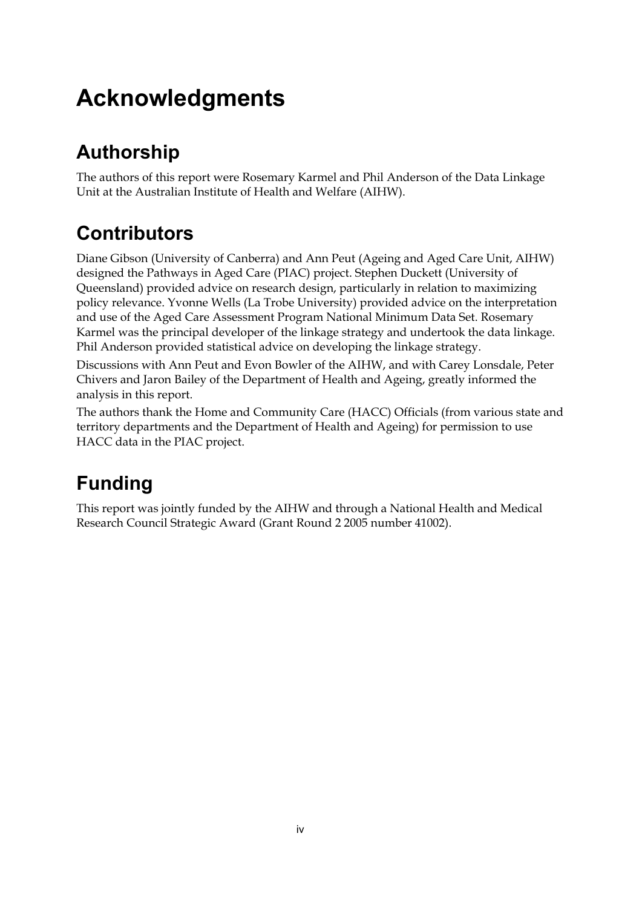# **Acknowledgments**

## **Authorship**

The authors of this report were Rosemary Karmel and Phil Anderson of the Data Linkage Unit at the Australian Institute of Health and Welfare (AIHW).

## **Contributors**

Diane Gibson (University of Canberra) and Ann Peut (Ageing and Aged Care Unit, AIHW) designed the Pathways in Aged Care (PIAC) project. Stephen Duckett (University of Queensland) provided advice on research design, particularly in relation to maximizing policy relevance. Yvonne Wells (La Trobe University) provided advice on the interpretation and use of the Aged Care Assessment Program National Minimum Data Set. Rosemary Karmel was the principal developer of the linkage strategy and undertook the data linkage. Phil Anderson provided statistical advice on developing the linkage strategy.

Discussions with Ann Peut and Evon Bowler of the AIHW, and with Carey Lonsdale, Peter Chivers and Jaron Bailey of the Department of Health and Ageing, greatly informed the analysis in this report.

The authors thank the Home and Community Care (HACC) Officials (from various state and territory departments and the Department of Health and Ageing) for permission to use HACC data in the PIAC project.

## **Funding**

This report was jointly funded by the AIHW and through a National Health and Medical Research Council Strategic Award (Grant Round 2 2005 number 41002).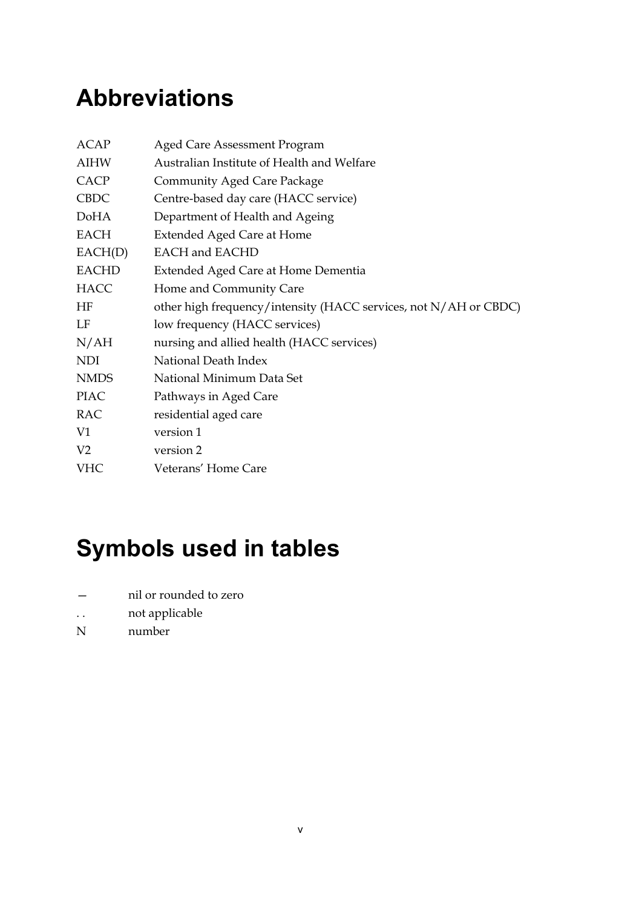## **Abbreviations**

| <b>ACAP</b>    | Aged Care Assessment Program                                     |
|----------------|------------------------------------------------------------------|
| <b>AIHW</b>    | Australian Institute of Health and Welfare                       |
| CACP           | <b>Community Aged Care Package</b>                               |
| <b>CBDC</b>    | Centre-based day care (HACC service)                             |
| DoHA           | Department of Health and Ageing                                  |
| EACH           | <b>Extended Aged Care at Home</b>                                |
| EACH(D)        | <b>EACH</b> and <b>EACHD</b>                                     |
| <b>EACHD</b>   | Extended Aged Care at Home Dementia                              |
| <b>HACC</b>    | Home and Community Care                                          |
| HF             | other high frequency/intensity (HACC services, not N/AH or CBDC) |
| LF             | low frequency (HACC services)                                    |
| N/AH           | nursing and allied health (HACC services)                        |
| <b>NDI</b>     | National Death Index                                             |
| <b>NMDS</b>    | National Minimum Data Set                                        |
| <b>PIAC</b>    | Pathways in Aged Care                                            |
| <b>RAC</b>     | residential aged care                                            |
| V <sub>1</sub> | version 1                                                        |
| V <sub>2</sub> | version 2                                                        |
| <b>VHC</b>     | Veterans' Home Care                                              |
|                |                                                                  |

# **Symbols used in tables**

- nil or rounded to zero
- . . not applicable
- N number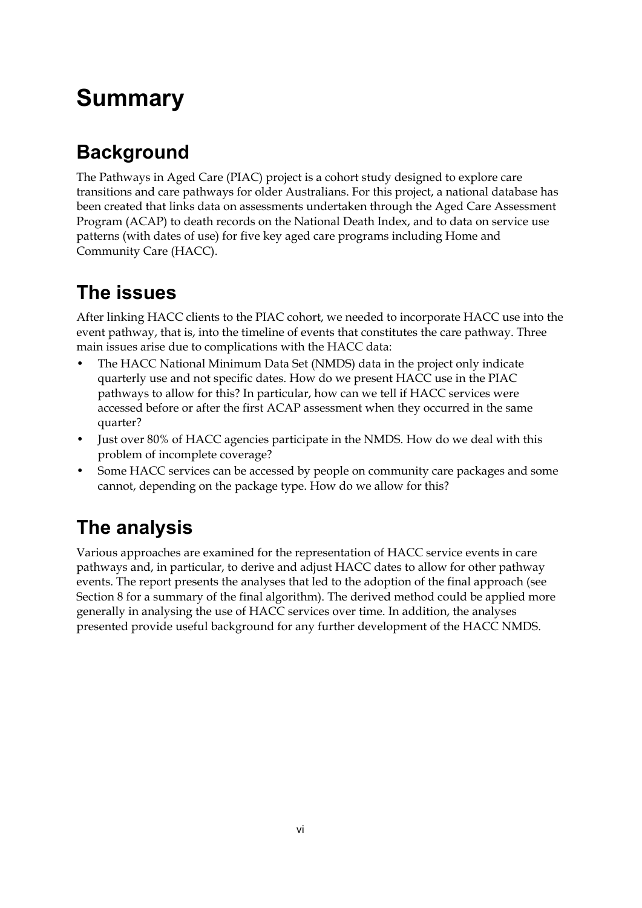# **Summary**

## **Background**

The Pathways in Aged Care (PIAC) project is a cohort study designed to explore care transitions and care pathways for older Australians. For this project, a national database has been created that links data on assessments undertaken through the Aged Care Assessment Program (ACAP) to death records on the National Death Index, and to data on service use patterns (with dates of use) for five key aged care programs including Home and Community Care (HACC).

### **The issues**

After linking HACC clients to the PIAC cohort, we needed to incorporate HACC use into the event pathway, that is, into the timeline of events that constitutes the care pathway. Three main issues arise due to complications with the HACC data:

- The HACC National Minimum Data Set (NMDS) data in the project only indicate quarterly use and not specific dates. How do we present HACC use in the PIAC pathways to allow for this? In particular, how can we tell if HACC services were accessed before or after the first ACAP assessment when they occurred in the same quarter?
- Just over 80% of HACC agencies participate in the NMDS. How do we deal with this problem of incomplete coverage?
- Some HACC services can be accessed by people on community care packages and some cannot, depending on the package type. How do we allow for this?

## **The analysis**

Various approaches are examined for the representation of HACC service events in care pathways and, in particular, to derive and adjust HACC dates to allow for other pathway events. The report presents the analyses that led to the adoption of the final approach (see Section 8 for a summary of the final algorithm). The derived method could be applied more generally in analysing the use of HACC services over time. In addition, the analyses presented provide useful background for any further development of the HACC NMDS.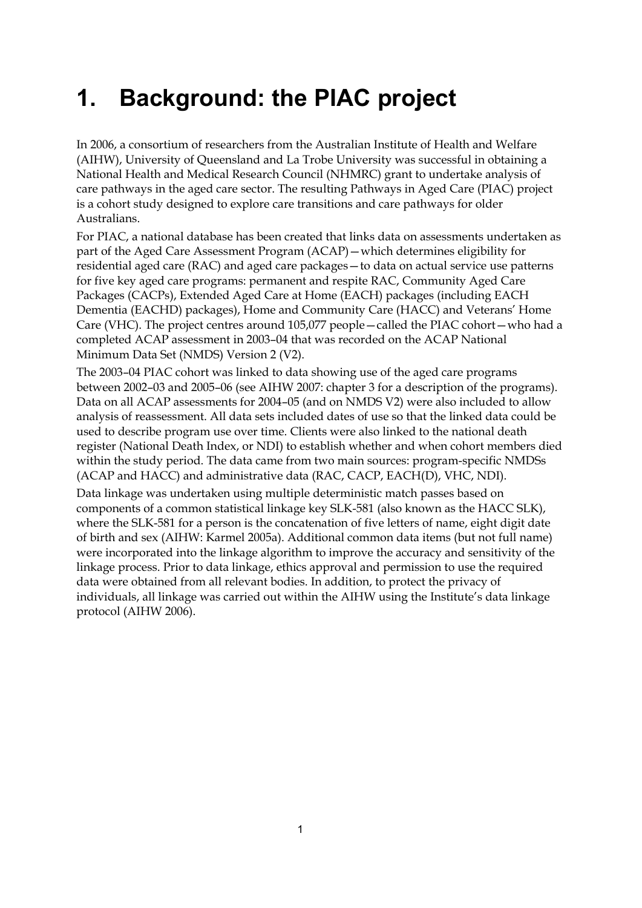# **1. Background: the PIAC project**

In 2006, a consortium of researchers from the Australian Institute of Health and Welfare (AIHW), University of Queensland and La Trobe University was successful in obtaining a National Health and Medical Research Council (NHMRC) grant to undertake analysis of care pathways in the aged care sector. The resulting Pathways in Aged Care (PIAC) project is a cohort study designed to explore care transitions and care pathways for older Australians.

For PIAC, a national database has been created that links data on assessments undertaken as part of the Aged Care Assessment Program (ACAP)—which determines eligibility for residential aged care (RAC) and aged care packages—to data on actual service use patterns for five key aged care programs: permanent and respite RAC, Community Aged Care Packages (CACPs), Extended Aged Care at Home (EACH) packages (including EACH Dementia (EACHD) packages), Home and Community Care (HACC) and Veterans' Home Care (VHC). The project centres around 105,077 people—called the PIAC cohort—who had a completed ACAP assessment in 2003–04 that was recorded on the ACAP National Minimum Data Set (NMDS) Version 2 (V2).

The 2003–04 PIAC cohort was linked to data showing use of the aged care programs between 2002–03 and 2005–06 (see AIHW 2007: chapter 3 for a description of the programs). Data on all ACAP assessments for 2004–05 (and on NMDS V2) were also included to allow analysis of reassessment. All data sets included dates of use so that the linked data could be used to describe program use over time. Clients were also linked to the national death register (National Death Index, or NDI) to establish whether and when cohort members died within the study period. The data came from two main sources: program-specific NMDSs (ACAP and HACC) and administrative data (RAC, CACP, EACH(D), VHC, NDI).

Data linkage was undertaken using multiple deterministic match passes based on components of a common statistical linkage key SLK-581 (also known as the HACC SLK), where the SLK-581 for a person is the concatenation of five letters of name, eight digit date of birth and sex (AIHW: Karmel 2005a). Additional common data items (but not full name) were incorporated into the linkage algorithm to improve the accuracy and sensitivity of the linkage process. Prior to data linkage, ethics approval and permission to use the required data were obtained from all relevant bodies. In addition, to protect the privacy of individuals, all linkage was carried out within the AIHW using the Institute's data linkage protocol (AIHW 2006).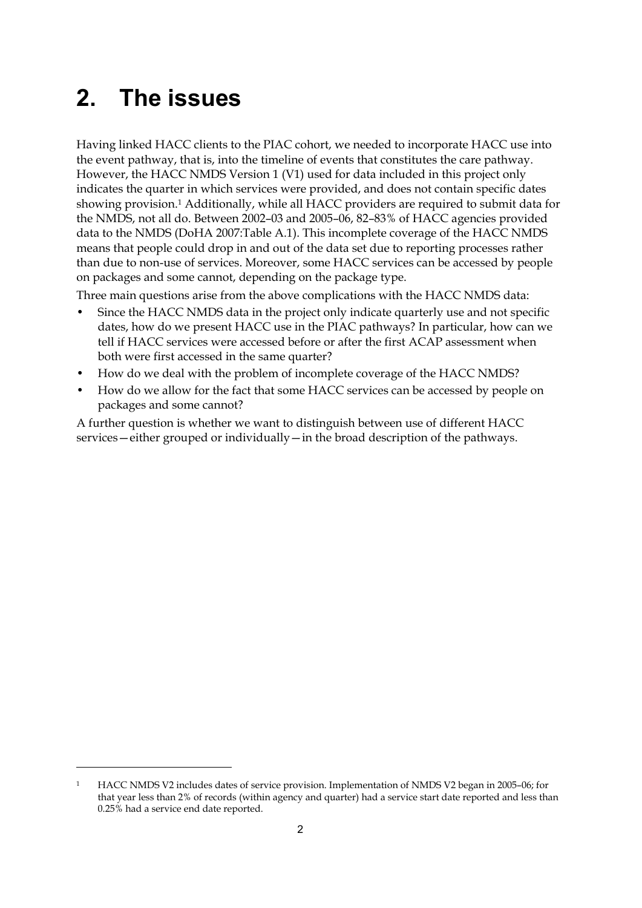# **2. The issues**

-

Having linked HACC clients to the PIAC cohort, we needed to incorporate HACC use into the event pathway, that is, into the timeline of events that constitutes the care pathway. However, the HACC NMDS Version 1 (V1) used for data included in this project only indicates the quarter in which services were provided, and does not contain specific dates showing provision.1 Additionally, while all HACC providers are required to submit data for the NMDS, not all do. Between 2002–03 and 2005–06, 82–83% of HACC agencies provided data to the NMDS (DoHA 2007:Table A.1). This incomplete coverage of the HACC NMDS means that people could drop in and out of the data set due to reporting processes rather than due to non-use of services. Moreover, some HACC services can be accessed by people on packages and some cannot, depending on the package type.

Three main questions arise from the above complications with the HACC NMDS data:

- Since the HACC NMDS data in the project only indicate quarterly use and not specific dates, how do we present HACC use in the PIAC pathways? In particular, how can we tell if HACC services were accessed before or after the first ACAP assessment when both were first accessed in the same quarter?
- How do we deal with the problem of incomplete coverage of the HACC NMDS?
- How do we allow for the fact that some HACC services can be accessed by people on packages and some cannot?

A further question is whether we want to distinguish between use of different HACC services—either grouped or individually—in the broad description of the pathways.

<sup>1</sup> HACC NMDS V2 includes dates of service provision. Implementation of NMDS V2 began in 2005–06; for that year less than 2% of records (within agency and quarter) had a service start date reported and less than 0.25% had a service end date reported.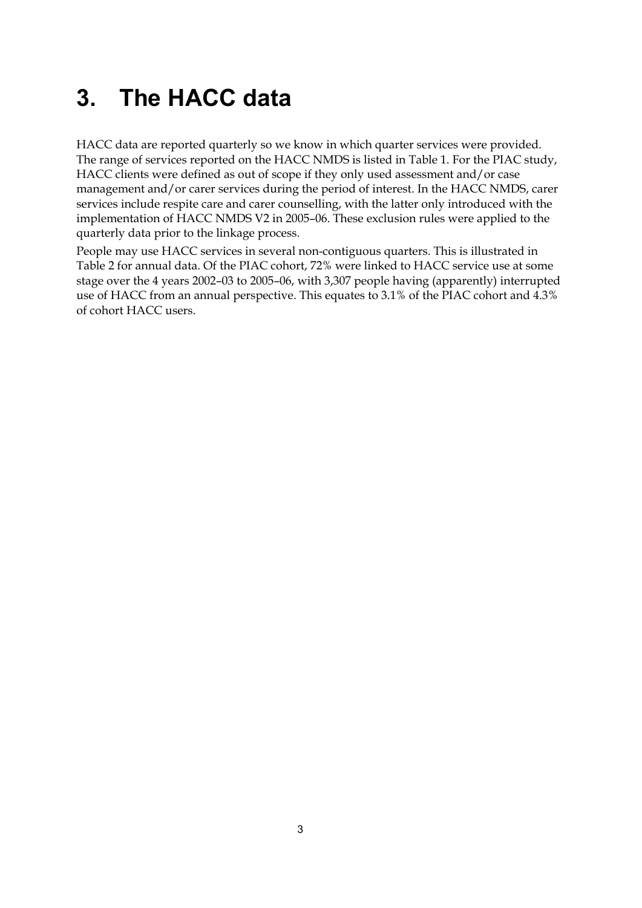# **3. The HACC data**

HACC data are reported quarterly so we know in which quarter services were provided. The range of services reported on the HACC NMDS is listed in Table 1. For the PIAC study, HACC clients were defined as out of scope if they only used assessment and/or case management and/or carer services during the period of interest. In the HACC NMDS, carer services include respite care and carer counselling, with the latter only introduced with the implementation of HACC NMDS V2 in 2005–06. These exclusion rules were applied to the quarterly data prior to the linkage process.

People may use HACC services in several non-contiguous quarters. This is illustrated in Table 2 for annual data. Of the PIAC cohort, 72% were linked to HACC service use at some stage over the 4 years 2002–03 to 2005–06, with 3,307 people having (apparently) interrupted use of HACC from an annual perspective. This equates to 3.1% of the PIAC cohort and 4.3% of cohort HACC users.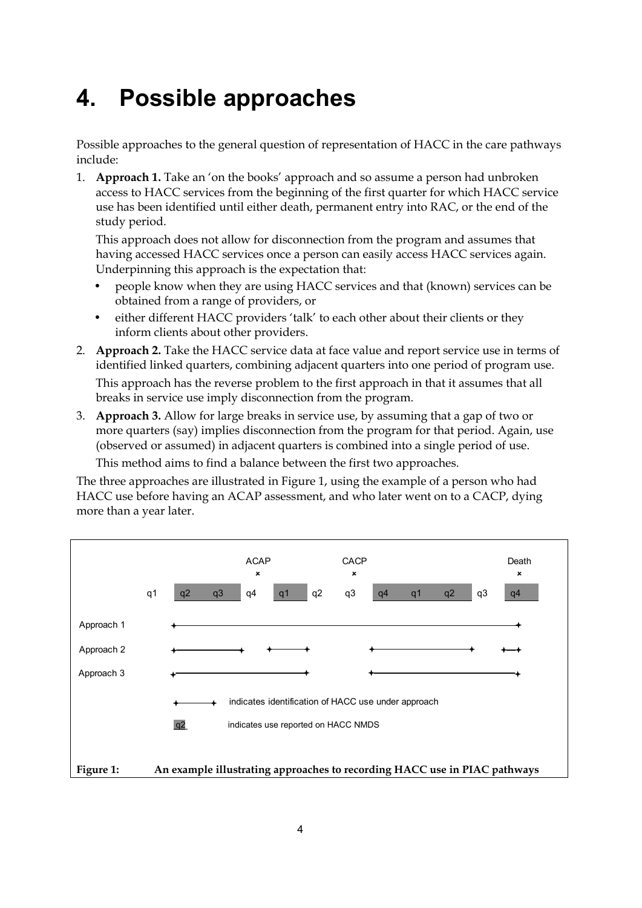## **4. Possible approaches**

Possible approaches to the general question of representation of HACC in the care pathways include:

1. **Approach 1.** Take an 'on the books' approach and so assume a person had unbroken access to HACC services from the beginning of the first quarter for which HACC service use has been identified until either death, permanent entry into RAC, or the end of the study period.

This approach does not allow for disconnection from the program and assumes that having accessed HACC services once a person can easily access HACC services again. Underpinning this approach is the expectation that:

- people know when they are using HACC services and that (known) services can be obtained from a range of providers, or
- either different HACC providers 'talk' to each other about their clients or they inform clients about other providers.
- 2. **Approach 2.** Take the HACC service data at face value and report service use in terms of identified linked quarters, combining adjacent quarters into one period of program use. This approach has the reverse problem to the first approach in that it assumes that all breaks in service use imply disconnection from the program.
- 3. **Approach 3.** Allow for large breaks in service use, by assuming that a gap of two or more quarters (say) implies disconnection from the program for that period. Again, use (observed or assumed) in adjacent quarters is combined into a single period of use.

This method aims to find a balance between the first two approaches.

The three approaches are illustrated in Figure 1, using the example of a person who had HACC use before having an ACAP assessment, and who later went on to a CACP, dying more than a year later.

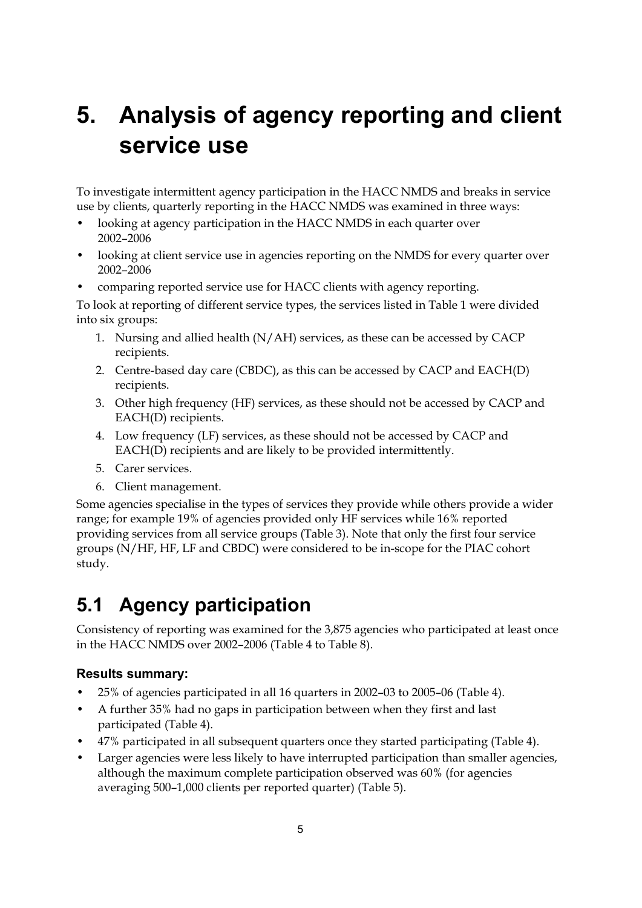## **5. Analysis of agency reporting and client service use**

To investigate intermittent agency participation in the HACC NMDS and breaks in service use by clients, quarterly reporting in the HACC NMDS was examined in three ways:

- looking at agency participation in the HACC NMDS in each quarter over 2002–2006
- looking at client service use in agencies reporting on the NMDS for every quarter over 2002–2006
- comparing reported service use for HACC clients with agency reporting.

To look at reporting of different service types, the services listed in Table 1 were divided into six groups:

- 1. Nursing and allied health (N/AH) services, as these can be accessed by CACP recipients.
- 2. Centre-based day care (CBDC), as this can be accessed by CACP and EACH(D) recipients.
- 3. Other high frequency (HF) services, as these should not be accessed by CACP and EACH(D) recipients.
- 4. Low frequency (LF) services, as these should not be accessed by CACP and EACH(D) recipients and are likely to be provided intermittently.
- 5. Carer services.
- 6. Client management.

Some agencies specialise in the types of services they provide while others provide a wider range; for example 19% of agencies provided only HF services while 16% reported providing services from all service groups (Table 3). Note that only the first four service groups (N/HF, HF, LF and CBDC) were considered to be in-scope for the PIAC cohort study.

### **5.1 Agency participation**

Consistency of reporting was examined for the 3,875 agencies who participated at least once in the HACC NMDS over 2002–2006 (Table 4 to Table 8).

#### **Results summary:**

- 25% of agencies participated in all 16 quarters in 2002–03 to 2005–06 (Table 4).
- A further 35% had no gaps in participation between when they first and last participated (Table 4).
- 47% participated in all subsequent quarters once they started participating (Table 4).
- Larger agencies were less likely to have interrupted participation than smaller agencies, although the maximum complete participation observed was 60% (for agencies averaging 500–1,000 clients per reported quarter) (Table 5).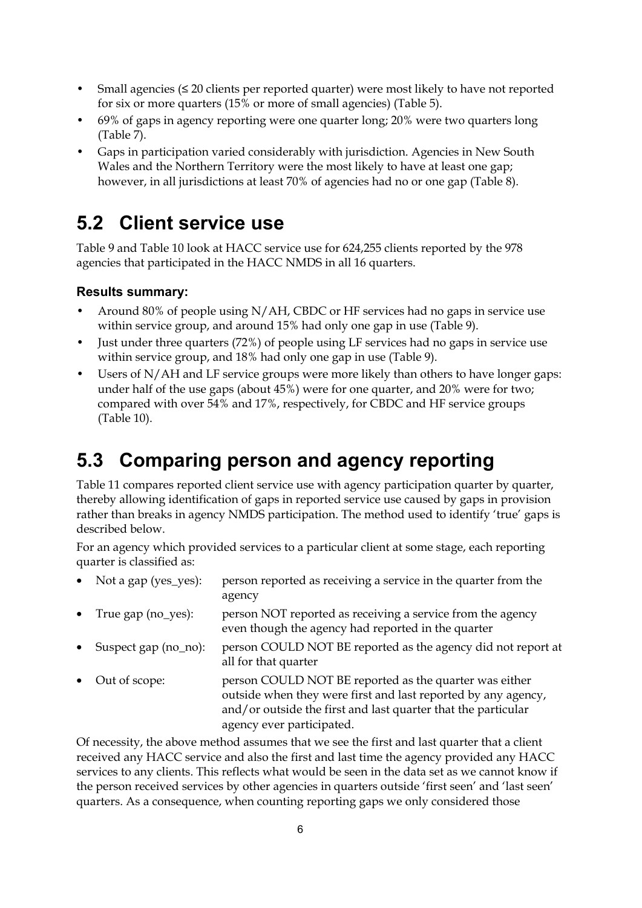- Small agencies (≤ 20 clients per reported quarter) were most likely to have not reported for six or more quarters (15% or more of small agencies) (Table 5).
- 69% of gaps in agency reporting were one quarter long; 20% were two quarters long (Table 7).
- Gaps in participation varied considerably with jurisdiction. Agencies in New South Wales and the Northern Territory were the most likely to have at least one gap; however, in all jurisdictions at least 70% of agencies had no or one gap (Table 8).

## **5.2 Client service use**

Table 9 and Table 10 look at HACC service use for 624,255 clients reported by the 978 agencies that participated in the HACC NMDS in all 16 quarters.

#### **Results summary:**

- Around 80% of people using N/AH, CBDC or HF services had no gaps in service use within service group, and around 15% had only one gap in use (Table 9).
- Just under three quarters (72%) of people using LF services had no gaps in service use within service group, and 18% had only one gap in use (Table 9).
- Users of N/AH and LF service groups were more likely than others to have longer gaps: under half of the use gaps (about 45%) were for one quarter, and 20% were for two; compared with over 54% and 17%, respectively, for CBDC and HF service groups (Table 10).

### **5.3 Comparing person and agency reporting**

Table 11 compares reported client service use with agency participation quarter by quarter, thereby allowing identification of gaps in reported service use caused by gaps in provision rather than breaks in agency NMDS participation. The method used to identify 'true' gaps is described below.

For an agency which provided services to a particular client at some stage, each reporting quarter is classified as:

Not a gap (yes\_yes): person reported as receiving a service in the quarter from the agency True gap (no\_yes): person NOT reported as receiving a service from the agency even though the agency had reported in the quarter • Suspect gap (no\_no): person COULD NOT BE reported as the agency did not report at all for that quarter • Out of scope: person COULD NOT BE reported as the quarter was either outside when they were first and last reported by any agency, and/or outside the first and last quarter that the particular agency ever participated.

Of necessity, the above method assumes that we see the first and last quarter that a client received any HACC service and also the first and last time the agency provided any HACC services to any clients. This reflects what would be seen in the data set as we cannot know if the person received services by other agencies in quarters outside 'first seen' and 'last seen' quarters. As a consequence, when counting reporting gaps we only considered those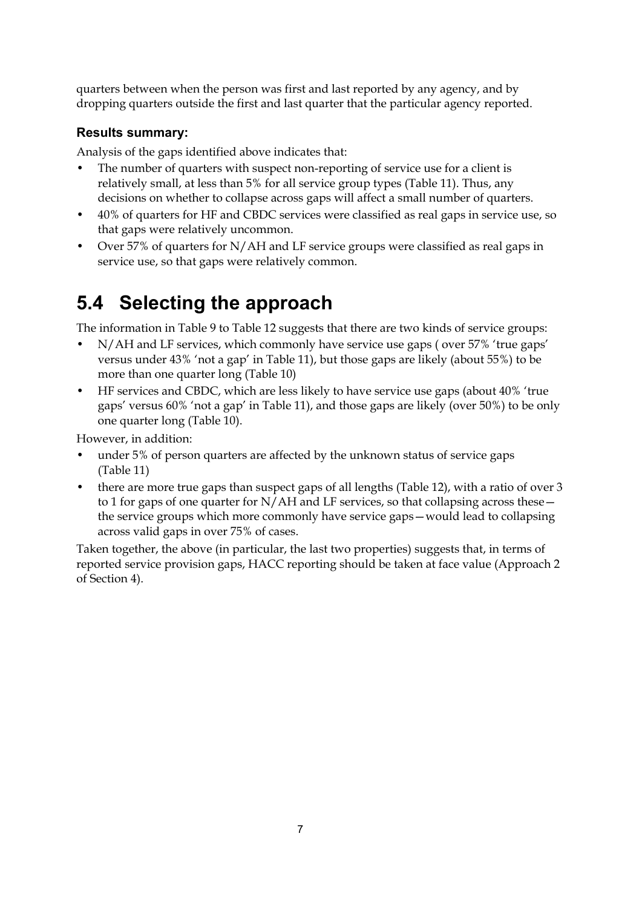quarters between when the person was first and last reported by any agency, and by dropping quarters outside the first and last quarter that the particular agency reported.

#### **Results summary:**

Analysis of the gaps identified above indicates that:

- The number of quarters with suspect non-reporting of service use for a client is relatively small, at less than 5% for all service group types (Table 11). Thus, any decisions on whether to collapse across gaps will affect a small number of quarters.
- 40% of quarters for HF and CBDC services were classified as real gaps in service use, so that gaps were relatively uncommon.
- Over 57% of quarters for N/AH and LF service groups were classified as real gaps in service use, so that gaps were relatively common.

## **5.4 Selecting the approach**

The information in Table 9 to Table 12 suggests that there are two kinds of service groups:

- N/AH and LF services, which commonly have service use gaps ( over 57% 'true gaps' versus under 43% 'not a gap' in Table 11), but those gaps are likely (about 55%) to be more than one quarter long (Table 10)
- HF services and CBDC, which are less likely to have service use gaps (about 40% 'true gaps' versus 60% 'not a gap' in Table 11), and those gaps are likely (over 50%) to be only one quarter long (Table 10).

However, in addition:

- under 5% of person quarters are affected by the unknown status of service gaps (Table 11)
- there are more true gaps than suspect gaps of all lengths (Table 12), with a ratio of over 3 to 1 for gaps of one quarter for  $N/AH$  and LF services, so that collapsing across these  $$ the service groups which more commonly have service gaps—would lead to collapsing across valid gaps in over 75% of cases.

Taken together, the above (in particular, the last two properties) suggests that, in terms of reported service provision gaps, HACC reporting should be taken at face value (Approach 2 of Section 4).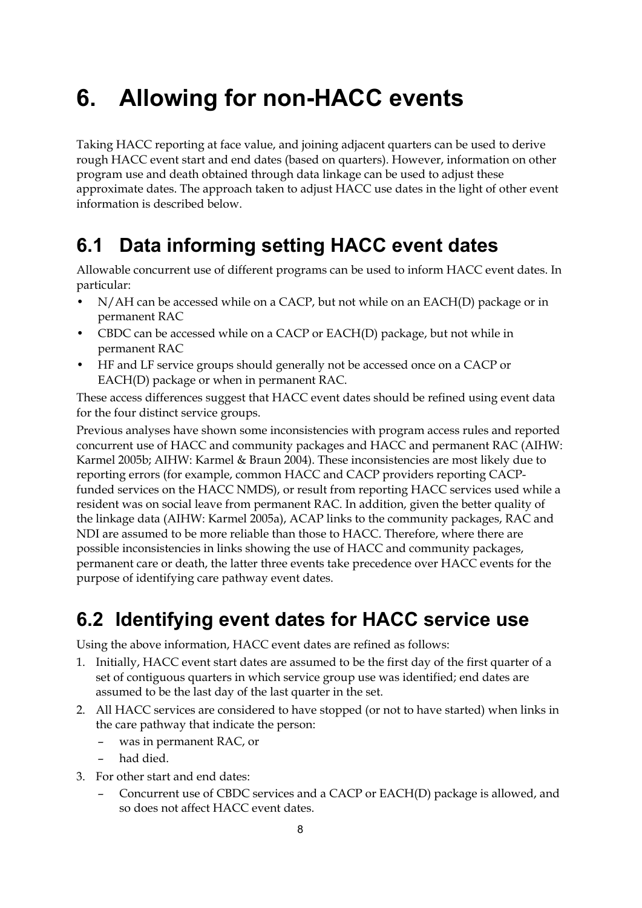# **6. Allowing for non-HACC events**

Taking HACC reporting at face value, and joining adjacent quarters can be used to derive rough HACC event start and end dates (based on quarters). However, information on other program use and death obtained through data linkage can be used to adjust these approximate dates. The approach taken to adjust HACC use dates in the light of other event information is described below.

### **6.1 Data informing setting HACC event dates**

Allowable concurrent use of different programs can be used to inform HACC event dates. In particular:

- N/AH can be accessed while on a CACP, but not while on an EACH(D) package or in permanent RAC
- CBDC can be accessed while on a CACP or EACH(D) package, but not while in permanent RAC
- HF and LF service groups should generally not be accessed once on a CACP or EACH(D) package or when in permanent RAC.

These access differences suggest that HACC event dates should be refined using event data for the four distinct service groups.

Previous analyses have shown some inconsistencies with program access rules and reported concurrent use of HACC and community packages and HACC and permanent RAC (AIHW: Karmel 2005b; AIHW: Karmel & Braun 2004). These inconsistencies are most likely due to reporting errors (for example, common HACC and CACP providers reporting CACPfunded services on the HACC NMDS), or result from reporting HACC services used while a resident was on social leave from permanent RAC. In addition, given the better quality of the linkage data (AIHW: Karmel 2005a), ACAP links to the community packages, RAC and NDI are assumed to be more reliable than those to HACC. Therefore, where there are possible inconsistencies in links showing the use of HACC and community packages, permanent care or death, the latter three events take precedence over HACC events for the purpose of identifying care pathway event dates.

## **6.2 Identifying event dates for HACC service use**

Using the above information, HACC event dates are refined as follows:

- 1. Initially, HACC event start dates are assumed to be the first day of the first quarter of a set of contiguous quarters in which service group use was identified; end dates are assumed to be the last day of the last quarter in the set.
- 2. All HACC services are considered to have stopped (or not to have started) when links in the care pathway that indicate the person:
	- was in permanent RAC, or
	- had died.
- 3. For other start and end dates:
	- Concurrent use of CBDC services and a CACP or EACH(D) package is allowed, and so does not affect HACC event dates.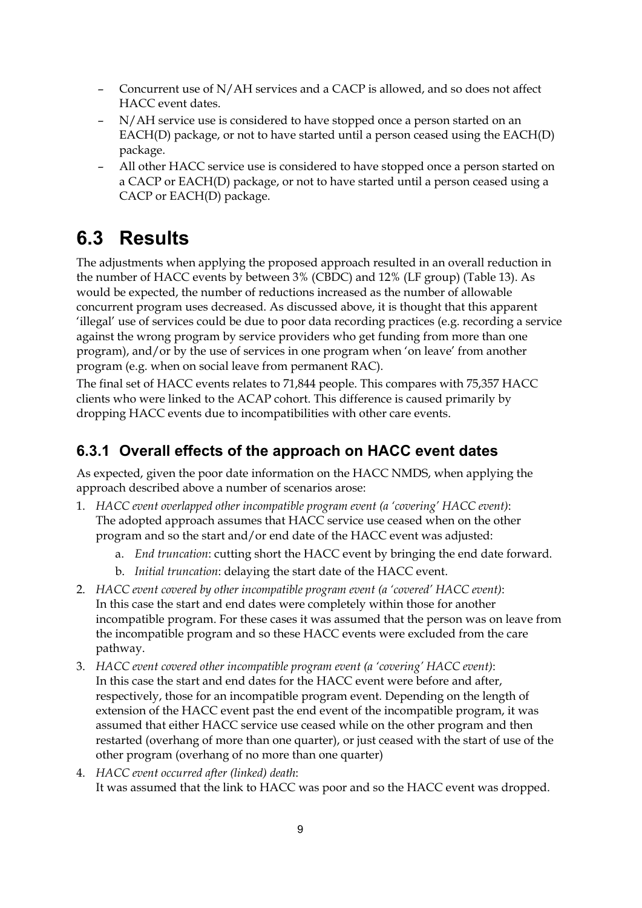- Concurrent use of N/AH services and a CACP is allowed, and so does not affect HACC event dates.
- N/AH service use is considered to have stopped once a person started on an EACH(D) package, or not to have started until a person ceased using the EACH(D) package.
- All other HACC service use is considered to have stopped once a person started on a CACP or EACH(D) package, or not to have started until a person ceased using a CACP or EACH(D) package.

### **6.3 Results**

The adjustments when applying the proposed approach resulted in an overall reduction in the number of HACC events by between 3% (CBDC) and 12% (LF group) (Table 13). As would be expected, the number of reductions increased as the number of allowable concurrent program uses decreased. As discussed above, it is thought that this apparent 'illegal' use of services could be due to poor data recording practices (e.g. recording a service against the wrong program by service providers who get funding from more than one program), and/or by the use of services in one program when 'on leave' from another program (e.g. when on social leave from permanent RAC).

The final set of HACC events relates to 71,844 people. This compares with 75,357 HACC clients who were linked to the ACAP cohort. This difference is caused primarily by dropping HACC events due to incompatibilities with other care events.

#### **6.3.1 Overall effects of the approach on HACC event dates**

As expected, given the poor date information on the HACC NMDS, when applying the approach described above a number of scenarios arose:

- 1. *HACC event overlapped other incompatible program event (a 'covering' HACC event)*: The adopted approach assumes that HACC service use ceased when on the other program and so the start and/or end date of the HACC event was adjusted:
	- a. *End truncation*: cutting short the HACC event by bringing the end date forward.
	- b. *Initial truncation*: delaying the start date of the HACC event.
- 2. *HACC event covered by other incompatible program event (a 'covered' HACC event)*: In this case the start and end dates were completely within those for another incompatible program. For these cases it was assumed that the person was on leave from the incompatible program and so these HACC events were excluded from the care pathway.
- 3. *HACC event covered other incompatible program event (a 'covering' HACC event)*: In this case the start and end dates for the HACC event were before and after, respectively, those for an incompatible program event. Depending on the length of extension of the HACC event past the end event of the incompatible program, it was assumed that either HACC service use ceased while on the other program and then restarted (overhang of more than one quarter), or just ceased with the start of use of the other program (overhang of no more than one quarter)
- 4. *HACC event occurred after (linked) death*: It was assumed that the link to HACC was poor and so the HACC event was dropped.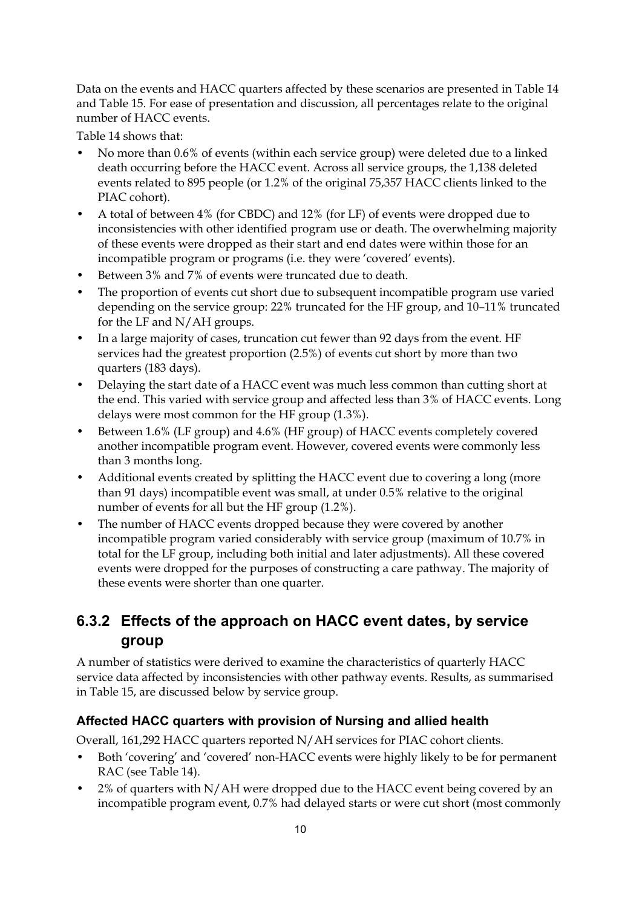Data on the events and HACC quarters affected by these scenarios are presented in Table 14 and Table 15. For ease of presentation and discussion, all percentages relate to the original number of HACC events.

Table 14 shows that:

- No more than 0.6% of events (within each service group) were deleted due to a linked death occurring before the HACC event. Across all service groups, the 1,138 deleted events related to 895 people (or 1.2% of the original 75,357 HACC clients linked to the PIAC cohort).
- A total of between 4% (for CBDC) and 12% (for LF) of events were dropped due to inconsistencies with other identified program use or death. The overwhelming majority of these events were dropped as their start and end dates were within those for an incompatible program or programs (i.e. they were 'covered' events).
- Between 3% and 7% of events were truncated due to death.
- The proportion of events cut short due to subsequent incompatible program use varied depending on the service group: 22% truncated for the HF group, and 10–11% truncated for the LF and N/AH groups.
- In a large majority of cases, truncation cut fewer than 92 days from the event. HF services had the greatest proportion (2.5%) of events cut short by more than two quarters (183 days).
- Delaying the start date of a HACC event was much less common than cutting short at the end. This varied with service group and affected less than 3% of HACC events. Long delays were most common for the HF group (1.3%).
- Between 1.6% (LF group) and 4.6% (HF group) of HACC events completely covered another incompatible program event. However, covered events were commonly less than 3 months long.
- Additional events created by splitting the HACC event due to covering a long (more than 91 days) incompatible event was small, at under 0.5% relative to the original number of events for all but the HF group (1.2%).
- The number of HACC events dropped because they were covered by another incompatible program varied considerably with service group (maximum of 10.7% in total for the LF group, including both initial and later adjustments). All these covered events were dropped for the purposes of constructing a care pathway. The majority of these events were shorter than one quarter.

#### **6.3.2 Effects of the approach on HACC event dates, by service group**

A number of statistics were derived to examine the characteristics of quarterly HACC service data affected by inconsistencies with other pathway events. Results, as summarised in Table 15, are discussed below by service group.

#### **Affected HACC quarters with provision of Nursing and allied health**

Overall, 161,292 HACC quarters reported N/AH services for PIAC cohort clients.

- Both 'covering' and 'covered' non-HACC events were highly likely to be for permanent RAC (see Table 14).
- 2% of quarters with N/AH were dropped due to the HACC event being covered by an incompatible program event, 0.7% had delayed starts or were cut short (most commonly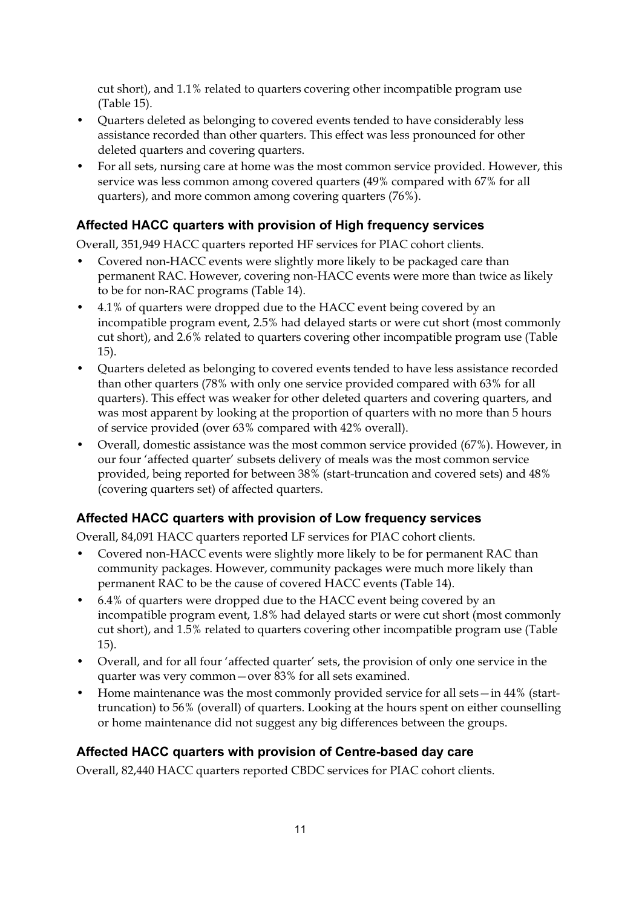cut short), and 1.1% related to quarters covering other incompatible program use (Table 15).

- Quarters deleted as belonging to covered events tended to have considerably less assistance recorded than other quarters. This effect was less pronounced for other deleted quarters and covering quarters.
- For all sets, nursing care at home was the most common service provided. However, this service was less common among covered quarters (49% compared with 67% for all quarters), and more common among covering quarters (76%).

#### **Affected HACC quarters with provision of High frequency services**

Overall, 351,949 HACC quarters reported HF services for PIAC cohort clients.

- Covered non-HACC events were slightly more likely to be packaged care than permanent RAC. However, covering non-HACC events were more than twice as likely to be for non-RAC programs (Table 14).
- 4.1% of quarters were dropped due to the HACC event being covered by an incompatible program event, 2.5% had delayed starts or were cut short (most commonly cut short), and 2.6% related to quarters covering other incompatible program use (Table 15).
- Quarters deleted as belonging to covered events tended to have less assistance recorded than other quarters (78% with only one service provided compared with 63% for all quarters). This effect was weaker for other deleted quarters and covering quarters, and was most apparent by looking at the proportion of quarters with no more than 5 hours of service provided (over 63% compared with 42% overall).
- Overall, domestic assistance was the most common service provided (67%). However, in our four 'affected quarter' subsets delivery of meals was the most common service provided, being reported for between 38% (start-truncation and covered sets) and 48% (covering quarters set) of affected quarters.

#### **Affected HACC quarters with provision of Low frequency services**

Overall, 84,091 HACC quarters reported LF services for PIAC cohort clients.

- Covered non-HACC events were slightly more likely to be for permanent RAC than community packages. However, community packages were much more likely than permanent RAC to be the cause of covered HACC events (Table 14).
- 6.4% of quarters were dropped due to the HACC event being covered by an incompatible program event, 1.8% had delayed starts or were cut short (most commonly cut short), and 1.5% related to quarters covering other incompatible program use (Table 15).
- Overall, and for all four 'affected quarter' sets, the provision of only one service in the quarter was very common—over 83% for all sets examined.
- Home maintenance was the most commonly provided service for all sets—in 44% (starttruncation) to 56% (overall) of quarters. Looking at the hours spent on either counselling or home maintenance did not suggest any big differences between the groups.

#### **Affected HACC quarters with provision of Centre-based day care**

Overall, 82,440 HACC quarters reported CBDC services for PIAC cohort clients.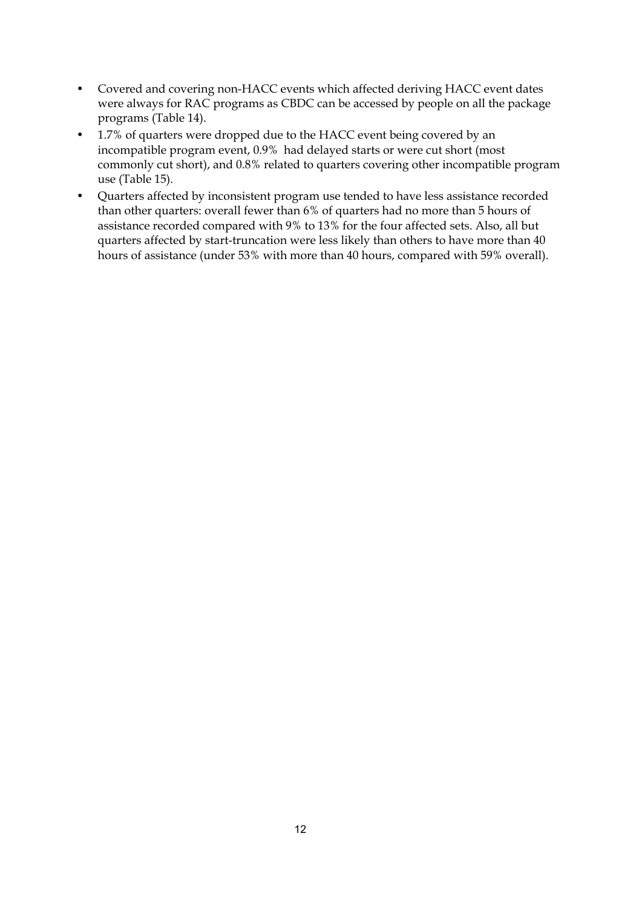- Covered and covering non-HACC events which affected deriving HACC event dates were always for RAC programs as CBDC can be accessed by people on all the package programs (Table 14).
- 1.7% of quarters were dropped due to the HACC event being covered by an incompatible program event, 0.9% had delayed starts or were cut short (most commonly cut short), and 0.8% related to quarters covering other incompatible program use (Table 15).
- Quarters affected by inconsistent program use tended to have less assistance recorded than other quarters: overall fewer than 6% of quarters had no more than 5 hours of assistance recorded compared with 9% to 13% for the four affected sets. Also, all but quarters affected by start-truncation were less likely than others to have more than 40 hours of assistance (under 53% with more than 40 hours, compared with 59% overall).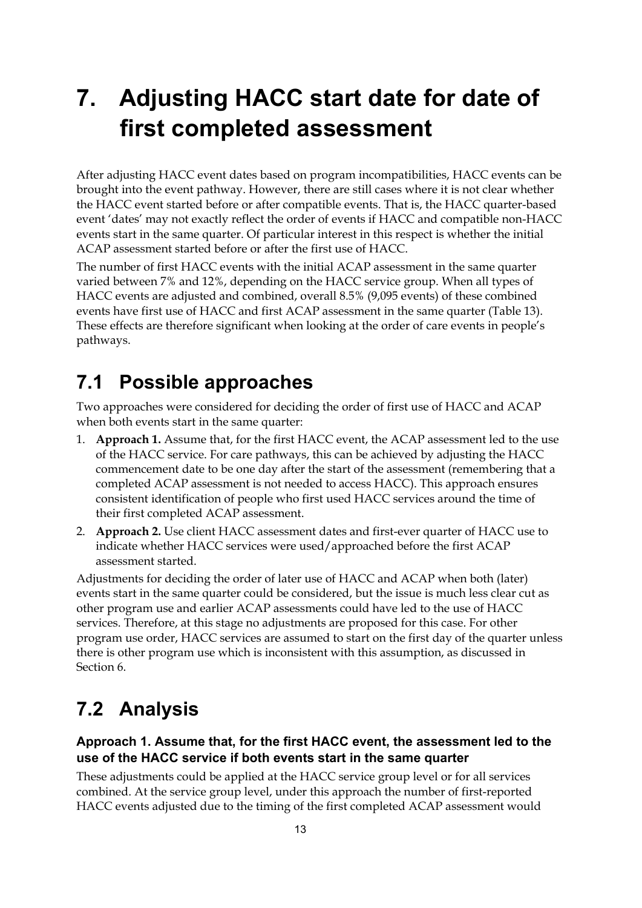## **7. Adjusting HACC start date for date of first completed assessment**

After adjusting HACC event dates based on program incompatibilities, HACC events can be brought into the event pathway. However, there are still cases where it is not clear whether the HACC event started before or after compatible events. That is, the HACC quarter-based event 'dates' may not exactly reflect the order of events if HACC and compatible non-HACC events start in the same quarter. Of particular interest in this respect is whether the initial ACAP assessment started before or after the first use of HACC.

The number of first HACC events with the initial ACAP assessment in the same quarter varied between 7% and 12%, depending on the HACC service group. When all types of HACC events are adjusted and combined, overall 8.5% (9,095 events) of these combined events have first use of HACC and first ACAP assessment in the same quarter (Table 13). These effects are therefore significant when looking at the order of care events in people's pathways.

#### **7.1 Possible approaches**

Two approaches were considered for deciding the order of first use of HACC and ACAP when both events start in the same quarter:

- 1. **Approach 1.** Assume that, for the first HACC event, the ACAP assessment led to the use of the HACC service. For care pathways, this can be achieved by adjusting the HACC commencement date to be one day after the start of the assessment (remembering that a completed ACAP assessment is not needed to access HACC). This approach ensures consistent identification of people who first used HACC services around the time of their first completed ACAP assessment.
- 2. **Approach 2.** Use client HACC assessment dates and first-ever quarter of HACC use to indicate whether HACC services were used/approached before the first ACAP assessment started.

Adjustments for deciding the order of later use of HACC and ACAP when both (later) events start in the same quarter could be considered, but the issue is much less clear cut as other program use and earlier ACAP assessments could have led to the use of HACC services. Therefore, at this stage no adjustments are proposed for this case. For other program use order, HACC services are assumed to start on the first day of the quarter unless there is other program use which is inconsistent with this assumption, as discussed in Section 6.

### **7.2 Analysis**

#### **Approach 1. Assume that, for the first HACC event, the assessment led to the use of the HACC service if both events start in the same quarter**

These adjustments could be applied at the HACC service group level or for all services combined. At the service group level, under this approach the number of first-reported HACC events adjusted due to the timing of the first completed ACAP assessment would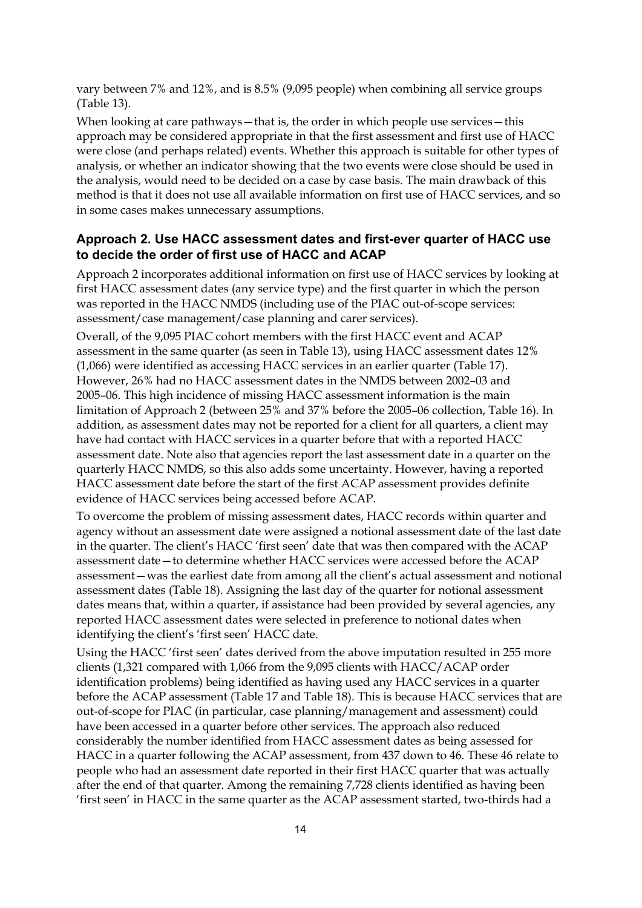vary between 7% and 12%, and is 8.5% (9,095 people) when combining all service groups (Table 13).

When looking at care pathways - that is, the order in which people use services - this approach may be considered appropriate in that the first assessment and first use of HACC were close (and perhaps related) events. Whether this approach is suitable for other types of analysis, or whether an indicator showing that the two events were close should be used in the analysis, would need to be decided on a case by case basis. The main drawback of this method is that it does not use all available information on first use of HACC services, and so in some cases makes unnecessary assumptions.

#### **Approach 2. Use HACC assessment dates and first-ever quarter of HACC use to decide the order of first use of HACC and ACAP**

Approach 2 incorporates additional information on first use of HACC services by looking at first HACC assessment dates (any service type) and the first quarter in which the person was reported in the HACC NMDS (including use of the PIAC out-of-scope services: assessment/case management/case planning and carer services).

Overall, of the 9,095 PIAC cohort members with the first HACC event and ACAP assessment in the same quarter (as seen in Table 13), using HACC assessment dates 12% (1,066) were identified as accessing HACC services in an earlier quarter (Table 17). However, 26% had no HACC assessment dates in the NMDS between 2002–03 and 2005–06. This high incidence of missing HACC assessment information is the main limitation of Approach 2 (between 25% and 37% before the 2005–06 collection, Table 16). In addition, as assessment dates may not be reported for a client for all quarters, a client may have had contact with HACC services in a quarter before that with a reported HACC assessment date. Note also that agencies report the last assessment date in a quarter on the quarterly HACC NMDS, so this also adds some uncertainty. However, having a reported HACC assessment date before the start of the first ACAP assessment provides definite evidence of HACC services being accessed before ACAP.

To overcome the problem of missing assessment dates, HACC records within quarter and agency without an assessment date were assigned a notional assessment date of the last date in the quarter. The client's HACC 'first seen' date that was then compared with the ACAP assessment date—to determine whether HACC services were accessed before the ACAP assessment—was the earliest date from among all the client's actual assessment and notional assessment dates (Table 18). Assigning the last day of the quarter for notional assessment dates means that, within a quarter, if assistance had been provided by several agencies, any reported HACC assessment dates were selected in preference to notional dates when identifying the client's 'first seen' HACC date.

Using the HACC 'first seen' dates derived from the above imputation resulted in 255 more clients (1,321 compared with 1,066 from the 9,095 clients with HACC/ACAP order identification problems) being identified as having used any HACC services in a quarter before the ACAP assessment (Table 17 and Table 18). This is because HACC services that are out-of-scope for PIAC (in particular, case planning/management and assessment) could have been accessed in a quarter before other services. The approach also reduced considerably the number identified from HACC assessment dates as being assessed for HACC in a quarter following the ACAP assessment, from 437 down to 46. These 46 relate to people who had an assessment date reported in their first HACC quarter that was actually after the end of that quarter. Among the remaining 7,728 clients identified as having been 'first seen' in HACC in the same quarter as the ACAP assessment started, two-thirds had a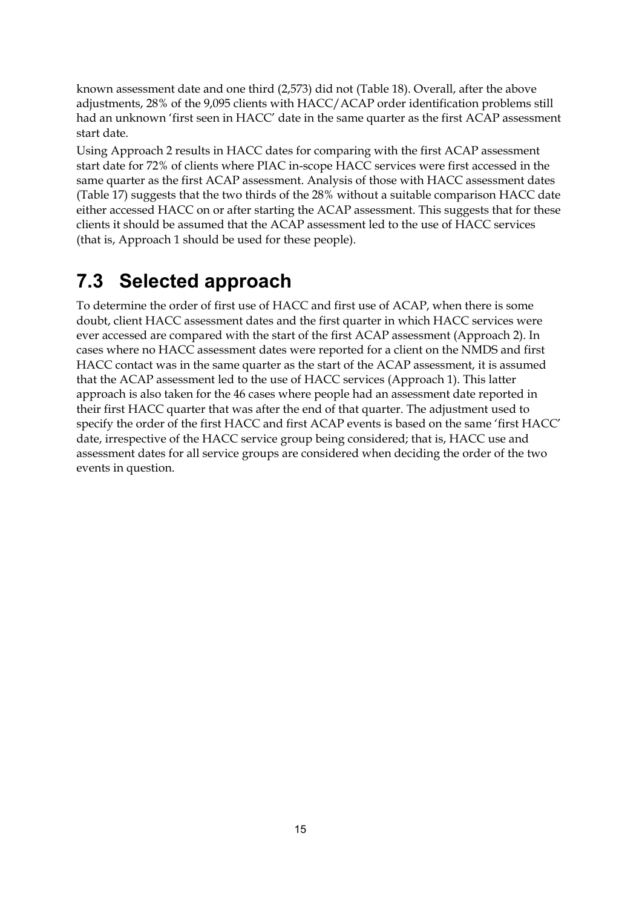known assessment date and one third (2,573) did not (Table 18). Overall, after the above adjustments, 28% of the 9,095 clients with HACC/ACAP order identification problems still had an unknown 'first seen in HACC' date in the same quarter as the first ACAP assessment start date.

Using Approach 2 results in HACC dates for comparing with the first ACAP assessment start date for 72% of clients where PIAC in-scope HACC services were first accessed in the same quarter as the first ACAP assessment. Analysis of those with HACC assessment dates (Table 17) suggests that the two thirds of the 28% without a suitable comparison HACC date either accessed HACC on or after starting the ACAP assessment. This suggests that for these clients it should be assumed that the ACAP assessment led to the use of HACC services (that is, Approach 1 should be used for these people).

## **7.3 Selected approach**

To determine the order of first use of HACC and first use of ACAP, when there is some doubt, client HACC assessment dates and the first quarter in which HACC services were ever accessed are compared with the start of the first ACAP assessment (Approach 2). In cases where no HACC assessment dates were reported for a client on the NMDS and first HACC contact was in the same quarter as the start of the ACAP assessment, it is assumed that the ACAP assessment led to the use of HACC services (Approach 1). This latter approach is also taken for the 46 cases where people had an assessment date reported in their first HACC quarter that was after the end of that quarter. The adjustment used to specify the order of the first HACC and first ACAP events is based on the same 'first HACC' date, irrespective of the HACC service group being considered; that is, HACC use and assessment dates for all service groups are considered when deciding the order of the two events in question.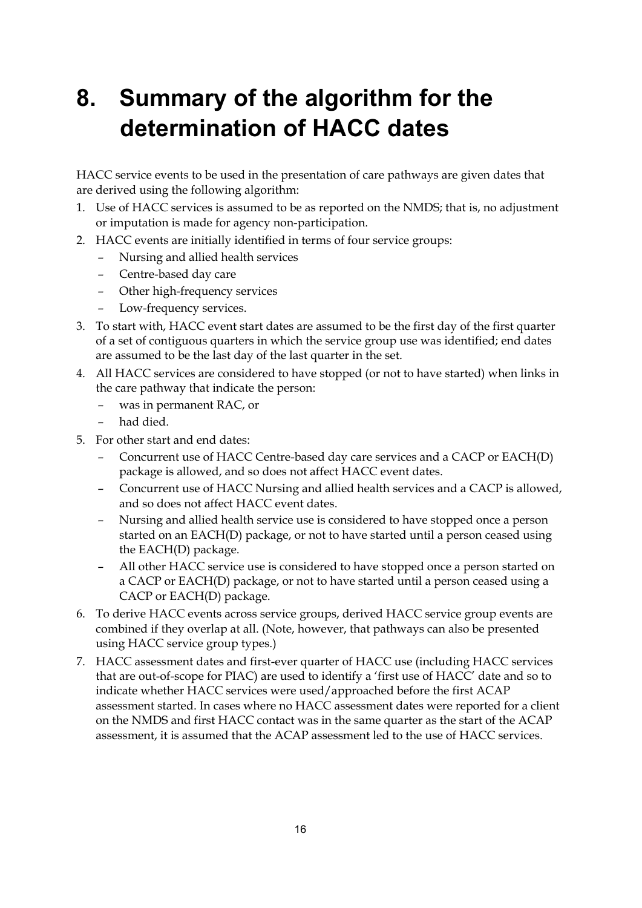# **8. Summary of the algorithm for the determination of HACC dates**

HACC service events to be used in the presentation of care pathways are given dates that are derived using the following algorithm:

- 1. Use of HACC services is assumed to be as reported on the NMDS; that is, no adjustment or imputation is made for agency non-participation.
- 2. HACC events are initially identified in terms of four service groups:
	- Nursing and allied health services
	- Centre-based day care
	- Other high-frequency services
	- Low-frequency services.
- 3. To start with, HACC event start dates are assumed to be the first day of the first quarter of a set of contiguous quarters in which the service group use was identified; end dates are assumed to be the last day of the last quarter in the set.
- 4. All HACC services are considered to have stopped (or not to have started) when links in the care pathway that indicate the person:
	- was in permanent RAC, or
	- had died.
- 5. For other start and end dates:
	- Concurrent use of HACC Centre-based day care services and a CACP or EACH(D) package is allowed, and so does not affect HACC event dates.
	- Concurrent use of HACC Nursing and allied health services and a CACP is allowed, and so does not affect HACC event dates.
	- Nursing and allied health service use is considered to have stopped once a person started on an EACH(D) package, or not to have started until a person ceased using the EACH(D) package.
	- All other HACC service use is considered to have stopped once a person started on a CACP or EACH(D) package, or not to have started until a person ceased using a CACP or EACH(D) package.
- 6. To derive HACC events across service groups, derived HACC service group events are combined if they overlap at all. (Note, however, that pathways can also be presented using HACC service group types.)
- 7. HACC assessment dates and first-ever quarter of HACC use (including HACC services that are out-of-scope for PIAC) are used to identify a 'first use of HACC' date and so to indicate whether HACC services were used/approached before the first ACAP assessment started. In cases where no HACC assessment dates were reported for a client on the NMDS and first HACC contact was in the same quarter as the start of the ACAP assessment, it is assumed that the ACAP assessment led to the use of HACC services.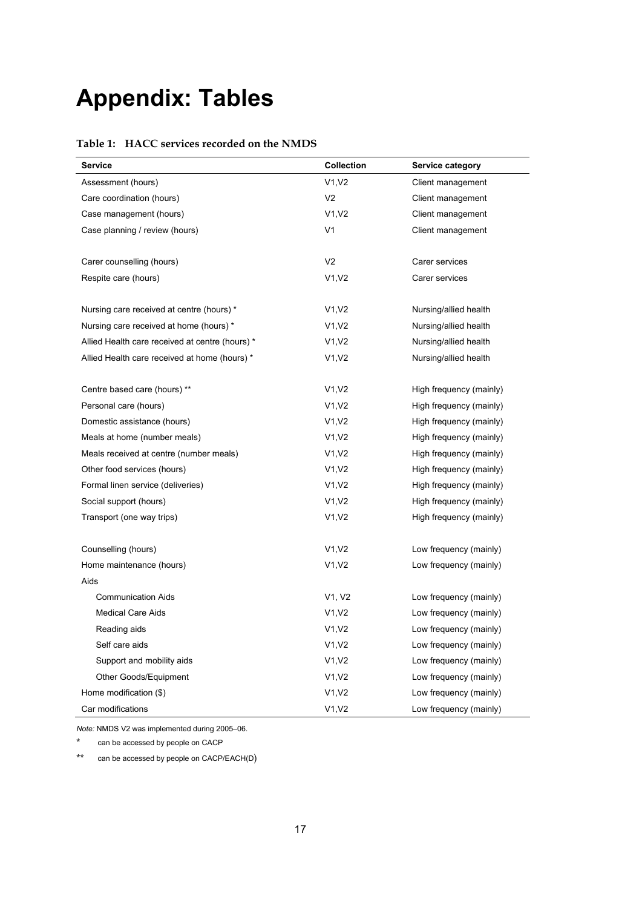# **Appendix: Tables**

#### **Table 1: HACC services recorded on the NMDS**

| Service                                         | <b>Collection</b> | <b>Service category</b> |
|-------------------------------------------------|-------------------|-------------------------|
| Assessment (hours)                              | V1, V2            | Client management       |
| Care coordination (hours)                       | V <sub>2</sub>    | Client management       |
| Case management (hours)                         | V1, V2            | Client management       |
| Case planning / review (hours)                  | V <sub>1</sub>    | Client management       |
|                                                 |                   |                         |
| Carer counselling (hours)                       | V <sub>2</sub>    | Carer services          |
| Respite care (hours)                            | V1, V2            | Carer services          |
|                                                 |                   |                         |
| Nursing care received at centre (hours) *       | V1, V2            | Nursing/allied health   |
| Nursing care received at home (hours) *         | V1, V2            | Nursing/allied health   |
| Allied Health care received at centre (hours) * | V1, V2            | Nursing/allied health   |
| Allied Health care received at home (hours) *   | V1, V2            | Nursing/allied health   |
|                                                 |                   |                         |
| Centre based care (hours) **                    | V1, V2            | High frequency (mainly) |
| Personal care (hours)                           | V1.V2             | High frequency (mainly) |
| Domestic assistance (hours)                     | V1, V2            | High frequency (mainly) |
| Meals at home (number meals)                    | V1, V2            | High frequency (mainly) |
| Meals received at centre (number meals)         | V1, V2            | High frequency (mainly) |
| Other food services (hours)                     | V1, V2            | High frequency (mainly) |
| Formal linen service (deliveries)               | V1, V2            | High frequency (mainly) |
| Social support (hours)                          | V1, V2            | High frequency (mainly) |
| Transport (one way trips)                       | V1, V2            | High frequency (mainly) |
|                                                 |                   |                         |
| Counselling (hours)                             | V1.V2             | Low frequency (mainly)  |
| Home maintenance (hours)                        | V1, V2            | Low frequency (mainly)  |
| Aids                                            |                   |                         |
| <b>Communication Aids</b>                       | V1, V2            | Low frequency (mainly)  |
| <b>Medical Care Aids</b>                        | V1, V2            | Low frequency (mainly)  |
| Reading aids                                    | V1, V2            | Low frequency (mainly)  |
| Self care aids                                  | V1, V2            | Low frequency (mainly)  |
| Support and mobility aids                       | V1, V2            | Low frequency (mainly)  |
| Other Goods/Equipment                           | V1, V2            | Low frequency (mainly)  |
| Home modification (\$)                          | V1, V2            | Low frequency (mainly)  |
| Car modifications                               | V1.V2             | Low frequency (mainly)  |

*Note:* NMDS V2 was implemented during 2005–06.

\* can be accessed by people on CACP

\*\* can be accessed by people on CACP/EACH(D)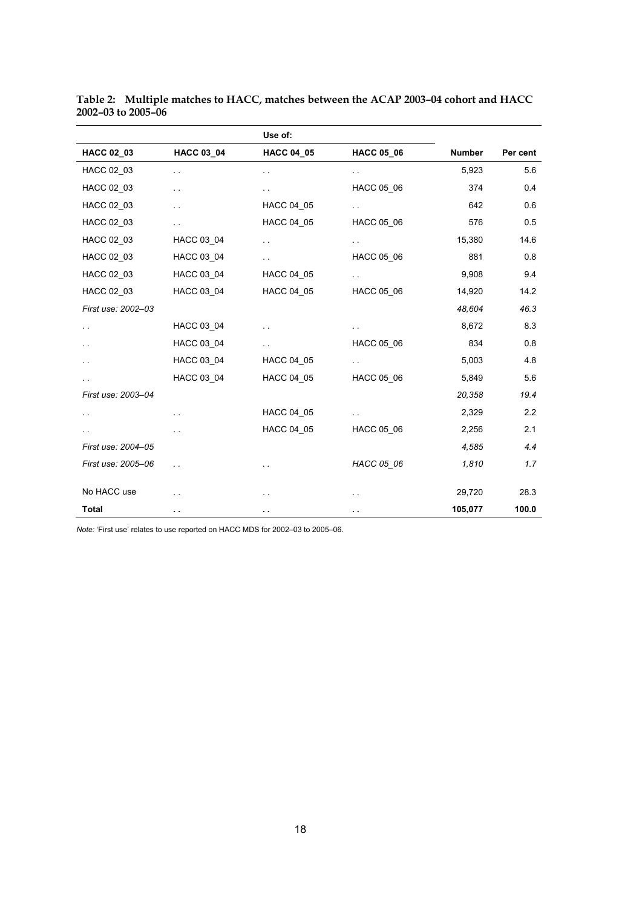|                    |                      | Use of:              |                      |               |          |
|--------------------|----------------------|----------------------|----------------------|---------------|----------|
| <b>HACC 02_03</b>  | <b>HACC 03_04</b>    | <b>HACC 04_05</b>    | <b>HACC 05_06</b>    | <b>Number</b> | Per cent |
| HACC 02_03         | $\sim$               | . .                  | $\sim$               | 5,923         | 5.6      |
| HACC 02_03         | $\sim$ $\sim$        | $\sim$               | HACC 05_06           | 374           | 0.4      |
| HACC 02_03         | . .                  | HACC 04 05           | $\ddot{\phantom{0}}$ | 642           | 0.6      |
| HACC 02_03         | $\sim$               | HACC 04_05           | HACC 05_06           | 576           | 0.5      |
| HACC 02_03         | HACC 03_04           | $\ddot{\phantom{1}}$ | $\sim$ $\sim$        | 15,380        | 14.6     |
| HACC 02_03         | HACC 03_04           | г.                   | HACC 05_06           | 881           | 0.8      |
| HACC 02_03         | HACC 03_04           | HACC 04_05           | $\sim$               | 9,908         | 9.4      |
| HACC 02_03         | HACC 03_04           | HACC 04_05           | HACC 05 06           | 14,920        | 14.2     |
| First use: 2002-03 |                      |                      |                      | 48,604        | 46.3     |
| . .                | HACC 03_04           |                      | $\sim$ $\sim$        | 8,672         | 8.3      |
| . .                | HACC 03_04           | $\sim$ $\sim$        | HACC 05_06           | 834           | 0.8      |
| . .                | HACC 03_04           | HACC 04 05           |                      | 5,003         | 4.8      |
|                    | HACC 03_04           | HACC 04_05           | HACC 05_06           | 5,849         | 5.6      |
| First use: 2003-04 |                      |                      |                      | 20,358        | 19.4     |
|                    |                      | HACC 04 05           |                      | 2,329         | 2.2      |
|                    |                      | HACC 04_05           | HACC 05_06           | 2,256         | 2.1      |
| First use: 2004-05 |                      |                      |                      | 4,585         | 4.4      |
| First use: 2005-06 | $\ddot{\phantom{a}}$ | $\ddot{\phantom{0}}$ | HACC 05_06           | 1,810         | 1.7      |
|                    |                      |                      |                      |               |          |
| No HACC use        |                      |                      |                      | 29,720        | 28.3     |
| <b>Total</b>       | $\ddot{\phantom{1}}$ | $\sim$               | $\sim$               | 105,077       | 100.0    |

**Table 2: Multiple matches to HACC, matches between the ACAP 2003–04 cohort and HACC 2002–03 to 2005–06** 

*Note:* 'First use' relates to use reported on HACC MDS for 2002–03 to 2005–06.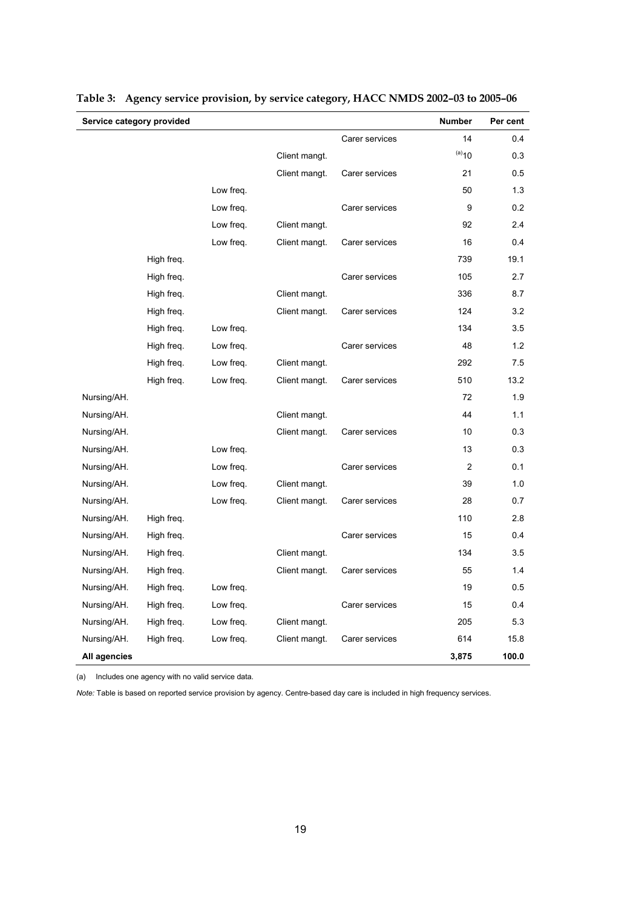| Service category provided |            |           |               |                | <b>Number</b>       | Per cent |
|---------------------------|------------|-----------|---------------|----------------|---------------------|----------|
|                           |            |           |               | Carer services | 14                  | 0.4      |
|                           |            |           | Client mangt. |                | $(a)$ <sub>10</sub> | 0.3      |
|                           |            |           | Client mangt. | Carer services | 21                  | 0.5      |
|                           |            | Low freq. |               |                | 50                  | 1.3      |
|                           |            | Low freq. |               | Carer services | 9                   | 0.2      |
|                           |            | Low freq. | Client mangt. |                | 92                  | 2.4      |
|                           |            | Low freq. | Client mangt. | Carer services | 16                  | 0.4      |
|                           | High freq. |           |               |                | 739                 | 19.1     |
|                           | High freq. |           |               | Carer services | 105                 | 2.7      |
|                           | High freq. |           | Client mangt. |                | 336                 | 8.7      |
|                           | High freq. |           | Client mangt. | Carer services | 124                 | 3.2      |
|                           | High freq. | Low freq. |               |                | 134                 | 3.5      |
|                           | High freq. | Low freq. |               | Carer services | 48                  | 1.2      |
|                           | High freq. | Low freq. | Client mangt. |                | 292                 | 7.5      |
|                           | High freq. | Low freq. | Client mangt. | Carer services | 510                 | 13.2     |
| Nursing/AH.               |            |           |               |                | 72                  | 1.9      |
| Nursing/AH.               |            |           | Client mangt. |                | 44                  | 1.1      |
| Nursing/AH.               |            |           | Client mangt. | Carer services | 10                  | 0.3      |
| Nursing/AH.               |            | Low freq. |               |                | 13                  | 0.3      |
| Nursing/AH.               |            | Low freq. |               | Carer services | $\overline{2}$      | 0.1      |
| Nursing/AH.               |            | Low freq. | Client mangt. |                | 39                  | 1.0      |
| Nursing/AH.               |            | Low freq. | Client mangt. | Carer services | 28                  | 0.7      |
| Nursing/AH.               | High freq. |           |               |                | 110                 | 2.8      |
| Nursing/AH.               | High freq. |           |               | Carer services | 15                  | 0.4      |
| Nursing/AH.               | High freq. |           | Client mangt. |                | 134                 | 3.5      |
| Nursing/AH.               | High freq. |           | Client mangt. | Carer services | 55                  | 1.4      |
| Nursing/AH.               | High freq. | Low freq. |               |                | 19                  | 0.5      |
| Nursing/AH.               | High freq. | Low freq. |               | Carer services | 15                  | 0.4      |
| Nursing/AH.               | High freq. | Low freq. | Client mangt. |                | 205                 | 5.3      |
| Nursing/AH.               | High freq. | Low freq. | Client mangt. | Carer services | 614                 | 15.8     |
| All agencies              |            |           |               |                | 3,875               | 100.0    |

|  |  | Table 3: Agency service provision, by service category, HACC NMDS 2002-03 to 2005-06 |
|--|--|--------------------------------------------------------------------------------------|
|  |  |                                                                                      |

(a) Includes one agency with no valid service data.

*Note:* Table is based on reported service provision by agency. Centre-based day care is included in high frequency services.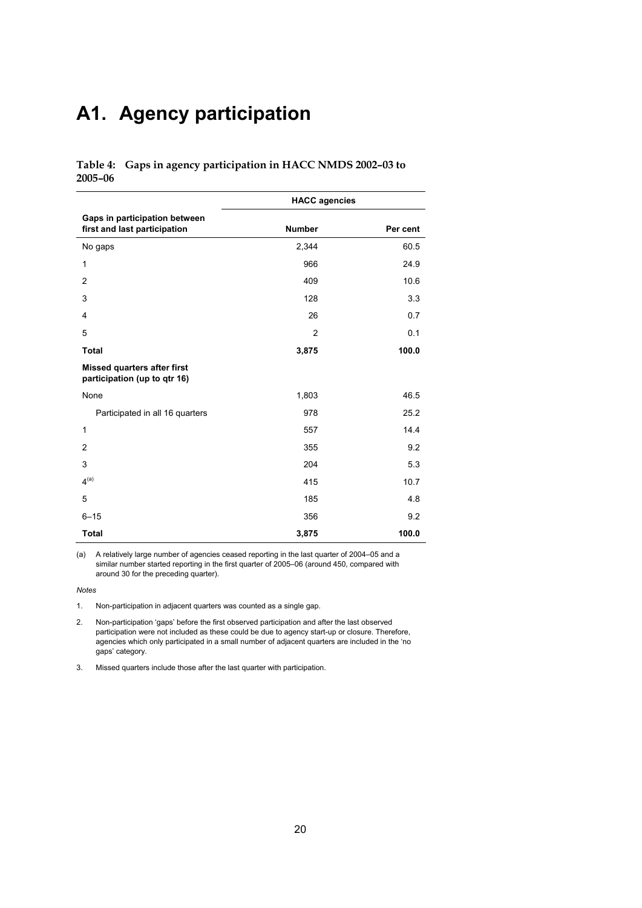### **A1. Agency participation**

#### **Table 4: Gaps in agency participation in HACC NMDS 2002–03 to 2005–06**

|                                                                    | <b>HACC</b> agencies |          |
|--------------------------------------------------------------------|----------------------|----------|
| Gaps in participation between<br>first and last participation      | <b>Number</b>        | Per cent |
| No gaps                                                            | 2,344                | 60.5     |
| 1                                                                  | 966                  | 24.9     |
| $\overline{c}$                                                     | 409                  | 10.6     |
| 3                                                                  | 128                  | 3.3      |
| 4                                                                  | 26                   | 0.7      |
| 5                                                                  | 2                    | 0.1      |
| <b>Total</b>                                                       | 3,875                | 100.0    |
| <b>Missed quarters after first</b><br>participation (up to qtr 16) |                      |          |
| None                                                               | 1,803                | 46.5     |
| Participated in all 16 quarters                                    | 978                  | 25.2     |
| 1                                                                  | 557                  | 14.4     |
| $\overline{2}$                                                     | 355                  | 9.2      |
| 3                                                                  | 204                  | 5.3      |
| 4 <sup>(a)</sup>                                                   | 415                  | 10.7     |
| 5                                                                  | 185                  | 4.8      |
| $6 - 15$                                                           | 356                  | 9.2      |
| <b>Total</b>                                                       | 3,875                | 100.0    |

(a) A relatively large number of agencies ceased reporting in the last quarter of 2004–05 and a similar number started reporting in the first quarter of 2005–06 (around 450, compared with around 30 for the preceding quarter).

#### *Notes*

1. Non-participation in adjacent quarters was counted as a single gap.

- 2. Non-participation 'gaps' before the first observed participation and after the last observed participation were not included as these could be due to agency start-up or closure. Therefore, agencies which only participated in a small number of adjacent quarters are included in the 'no gaps' category.
- 3. Missed quarters include those after the last quarter with participation.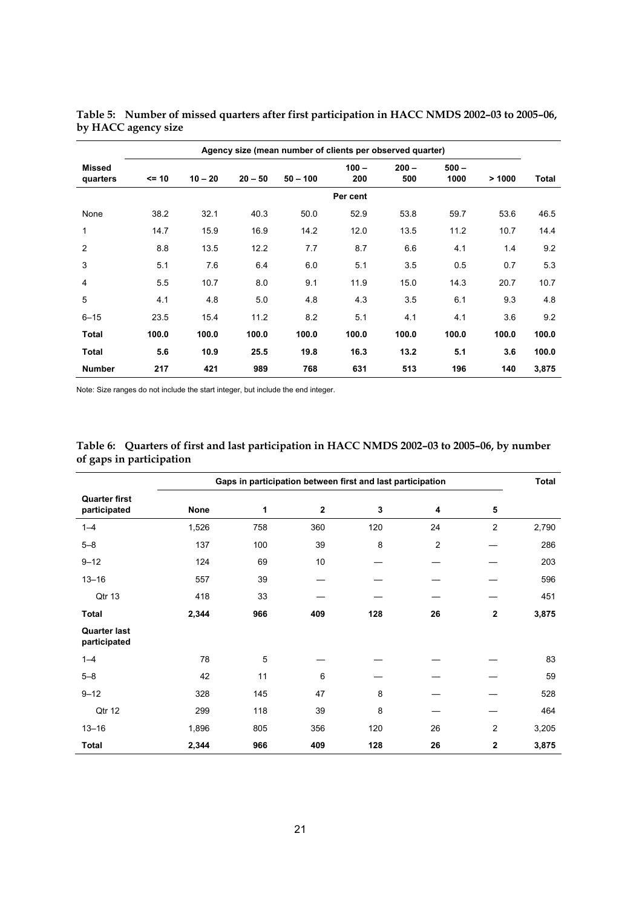|                           | Agency size (mean number of clients per observed quarter) |           |           |            |                |                |                 |       |              |
|---------------------------|-----------------------------------------------------------|-----------|-----------|------------|----------------|----------------|-----------------|-------|--------------|
| <b>Missed</b><br>quarters | $= 10$                                                    | $10 - 20$ | $20 - 50$ | $50 - 100$ | $100 -$<br>200 | $200 -$<br>500 | $500 -$<br>1000 | >1000 | <b>Total</b> |
|                           |                                                           |           |           |            | Per cent       |                |                 |       |              |
| None                      | 38.2                                                      | 32.1      | 40.3      | 50.0       | 52.9           | 53.8           | 59.7            | 53.6  | 46.5         |
| 1                         | 14.7                                                      | 15.9      | 16.9      | 14.2       | 12.0           | 13.5           | 11.2            | 10.7  | 14.4         |
| 2                         | 8.8                                                       | 13.5      | 12.2      | 7.7        | 8.7            | 6.6            | 4.1             | 1.4   | 9.2          |
| 3                         | 5.1                                                       | 7.6       | 6.4       | 6.0        | 5.1            | 3.5            | 0.5             | 0.7   | 5.3          |
| 4                         | 5.5                                                       | 10.7      | 8.0       | 9.1        | 11.9           | 15.0           | 14.3            | 20.7  | 10.7         |
| 5                         | 4.1                                                       | 4.8       | 5.0       | 4.8        | 4.3            | 3.5            | 6.1             | 9.3   | 4.8          |
| $6 - 15$                  | 23.5                                                      | 15.4      | 11.2      | 8.2        | 5.1            | 4.1            | 4.1             | 3.6   | 9.2          |
| <b>Total</b>              | 100.0                                                     | 100.0     | 100.0     | 100.0      | 100.0          | 100.0          | 100.0           | 100.0 | 100.0        |
| <b>Total</b>              | 5.6                                                       | 10.9      | 25.5      | 19.8       | 16.3           | 13.2           | 5.1             | 3.6   | 100.0        |
| <b>Number</b>             | 217                                                       | 421       | 989       | 768        | 631            | 513            | 196             | 140   | 3,875        |

**Table 5: Number of missed quarters after first participation in HACC NMDS 2002–03 to 2005–06, by HACC agency size** 

Note: Size ranges do not include the start integer, but include the end integer.

|                                      | Gaps in participation between first and last participation |     |     |     |                |                |       |
|--------------------------------------|------------------------------------------------------------|-----|-----|-----|----------------|----------------|-------|
| <b>Quarter first</b><br>participated | <b>None</b>                                                | 1   | 2   | 3   | 4              | 5              |       |
| $1 - 4$                              | 1,526                                                      | 758 | 360 | 120 | 24             | $\overline{2}$ | 2,790 |
| $5 - 8$                              | 137                                                        | 100 | 39  | 8   | $\overline{2}$ |                | 286   |
| $9 - 12$                             | 124                                                        | 69  | 10  |     |                |                | 203   |
| $13 - 16$                            | 557                                                        | 39  |     |     |                |                | 596   |
| Qtr 13                               | 418                                                        | 33  |     |     |                |                | 451   |
| <b>Total</b>                         | 2,344                                                      | 966 | 409 | 128 | 26             | 2              | 3,875 |
| <b>Quarter last</b><br>participated  |                                                            |     |     |     |                |                |       |
| $1 - 4$                              | 78                                                         | 5   |     |     |                |                | 83    |
| $5 - 8$                              | 42                                                         | 11  | 6   |     |                |                | 59    |
| $9 - 12$                             | 328                                                        | 145 | 47  | 8   |                |                | 528   |
| Qtr 12                               | 299                                                        | 118 | 39  | 8   |                |                | 464   |
| $13 - 16$                            | 1,896                                                      | 805 | 356 | 120 | 26             | $\overline{2}$ | 3,205 |
| <b>Total</b>                         | 2,344                                                      | 966 | 409 | 128 | 26             | $\mathbf{2}$   | 3,875 |

| Table 6: Quarters of first and last participation in HACC NMDS 2002-03 to 2005-06, by number |
|----------------------------------------------------------------------------------------------|
| of gaps in participation                                                                     |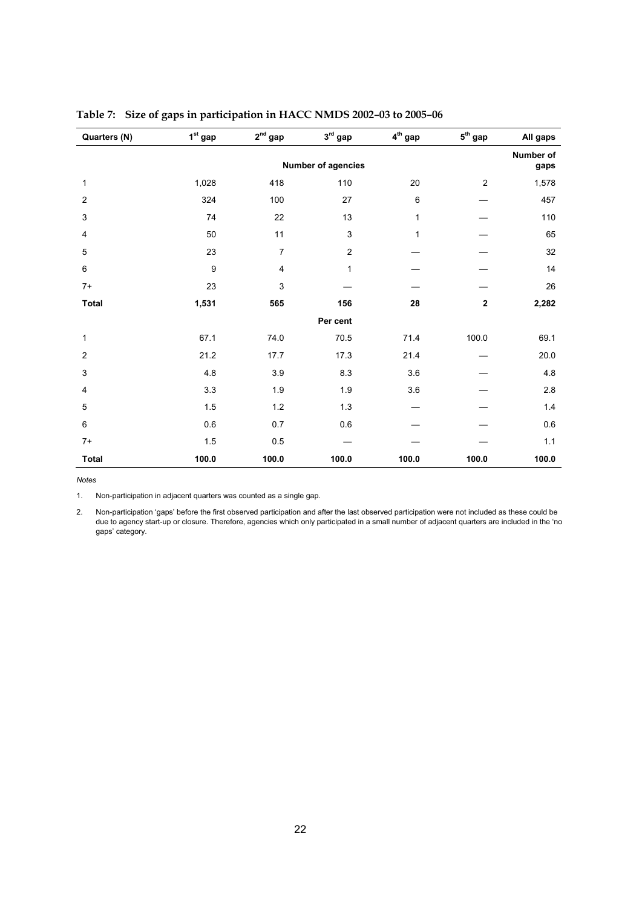| Quarters (N)              | $1st$ gap | $2^{nd}$ gap            | $3^{\text{rd}}$ gap       | $4^{\text{th}}$ gap | $5^{\text{th}}$ gap     | All gaps          |
|---------------------------|-----------|-------------------------|---------------------------|---------------------|-------------------------|-------------------|
|                           |           |                         | Number of agencies        |                     |                         | Number of<br>gaps |
| 1                         | 1,028     | 418                     | 110                       | 20                  | $\overline{2}$          | 1,578             |
| $\overline{c}$            | 324       | 100                     | 27                        | 6                   |                         | 457               |
| 3                         | 74        | 22                      | 13                        | 1                   |                         | 110               |
| 4                         | 50        | 11                      | $\ensuremath{\mathsf{3}}$ | 1                   |                         | 65                |
| 5                         | 23        | $\overline{7}$          | $\overline{c}$            |                     |                         | 32                |
| 6                         | 9         | $\overline{\mathbf{4}}$ | 1                         |                     |                         | 14                |
| $7+$                      | 23        | 3                       |                           |                     |                         | 26                |
| <b>Total</b>              | 1,531     | 565                     | 156                       | 28                  | $\overline{\mathbf{2}}$ | 2,282             |
|                           |           |                         | Per cent                  |                     |                         |                   |
| 1                         | 67.1      | 74.0                    | 70.5                      | 71.4                | 100.0                   | 69.1              |
| $\overline{2}$            | 21.2      | 17.7                    | 17.3                      | 21.4                |                         | 20.0              |
| $\ensuremath{\mathsf{3}}$ | $4.8\,$   | 3.9                     | 8.3                       | 3.6                 |                         | 4.8               |
| 4                         | 3.3       | 1.9                     | 1.9                       | 3.6                 |                         | 2.8               |
| 5                         | 1.5       | 1.2                     | $1.3$                     |                     |                         | $1.4$             |
| 6                         | 0.6       | 0.7                     | 0.6                       |                     |                         | 0.6               |
| $7+$                      | 1.5       | 0.5                     |                           |                     |                         | 1.1               |
| <b>Total</b>              | 100.0     | 100.0                   | 100.0                     | 100.0               | 100.0                   | 100.0             |

**Table 7: Size of gaps in participation in HACC NMDS 2002–03 to 2005–06** 

*Notes*

1. Non-participation in adjacent quarters was counted as a single gap.

2. Non-participation 'gaps' before the first observed participation and after the last observed participation were not included as these could be due to agency start-up or closure. Therefore, agencies which only participated in a small number of adjacent quarters are included in the 'no gaps' category.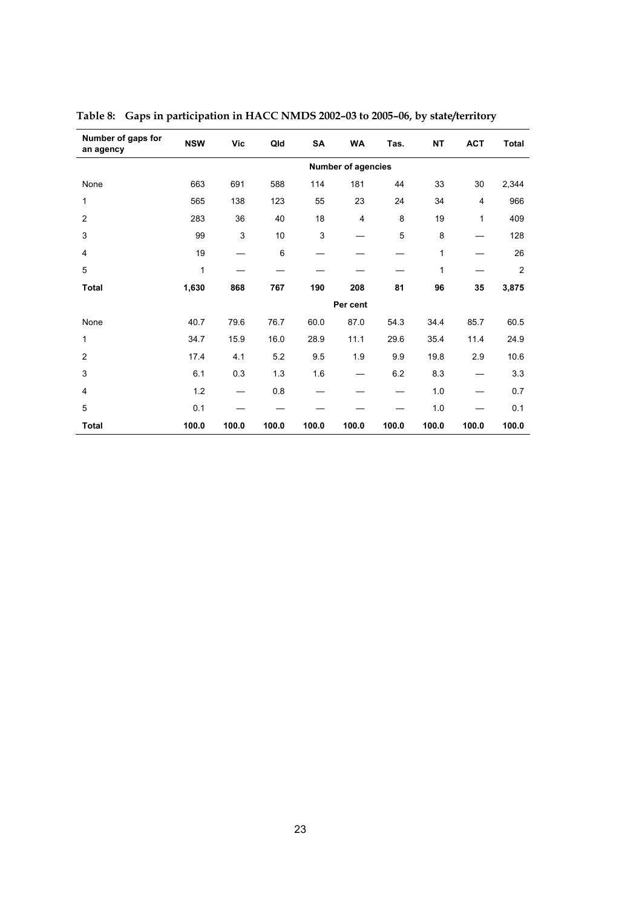| Number of gaps for<br>an agency | <b>NSW</b>                | <b>Vic</b>  | Qld   | <b>SA</b> | WA                      | Tas.  | <b>NT</b> | <b>ACT</b> | <b>Total</b>   |
|---------------------------------|---------------------------|-------------|-------|-----------|-------------------------|-------|-----------|------------|----------------|
|                                 | <b>Number of agencies</b> |             |       |           |                         |       |           |            |                |
| None                            | 663                       | 691         | 588   | 114       | 181                     | 44    | 33        | 30         | 2,344          |
| 1                               | 565                       | 138         | 123   | 55        | 23                      | 24    | 34        | 4          | 966            |
| $\overline{c}$                  | 283                       | 36          | 40    | 18        | $\overline{\mathbf{4}}$ | 8     | 19        | 1          | 409            |
| 3                               | 99                        | $\mathsf 3$ | $10$  | 3         |                         | 5     | 8         |            | 128            |
| 4                               | 19                        |             | 6     |           |                         |       | 1         |            | 26             |
| 5                               | 1                         |             |       |           |                         |       | 1         |            | $\overline{2}$ |
| <b>Total</b>                    | 1,630                     | 868         | 767   | 190       | 208                     | 81    | 96        | 35         | 3,875          |
|                                 |                           |             |       |           | Per cent                |       |           |            |                |
| None                            | 40.7                      | 79.6        | 76.7  | 60.0      | 87.0                    | 54.3  | 34.4      | 85.7       | 60.5           |
| 1                               | 34.7                      | 15.9        | 16.0  | 28.9      | 11.1                    | 29.6  | 35.4      | 11.4       | 24.9           |
| $\overline{2}$                  | 17.4                      | 4.1         | 5.2   | 9.5       | 1.9                     | 9.9   | 19.8      | 2.9        | 10.6           |
| 3                               | 6.1                       | 0.3         | 1.3   | 1.6       |                         | 6.2   | 8.3       |            | 3.3            |
| 4                               | 1.2                       |             | 0.8   |           |                         |       | 1.0       |            | 0.7            |
| 5                               | 0.1                       |             |       |           |                         |       | 1.0       |            | 0.1            |
| <b>Total</b>                    | 100.0                     | 100.0       | 100.0 | 100.0     | 100.0                   | 100.0 | 100.0     | 100.0      | 100.0          |

**Table 8: Gaps in participation in HACC NMDS 2002–03 to 2005–06, by state/territory**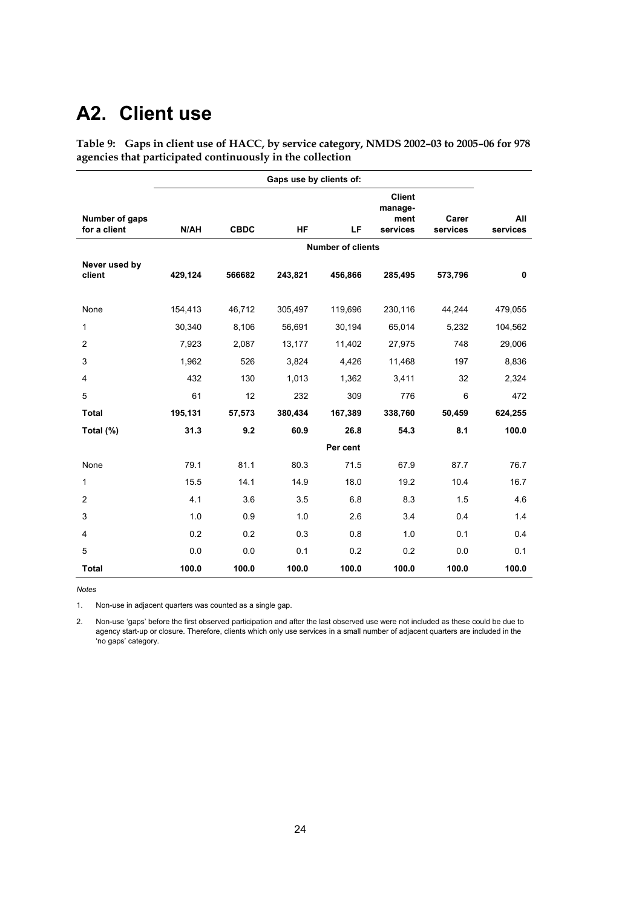## **A2. Client use**

**Table 9: Gaps in client use of HACC, by service category, NMDS 2002–03 to 2005–06 for 978 agencies that participated continuously in the collection** 

|                                |         |             | Gaps use by clients of: |                          |                                              |                   |                 |
|--------------------------------|---------|-------------|-------------------------|--------------------------|----------------------------------------------|-------------------|-----------------|
| Number of gaps<br>for a client | N/AH    | <b>CBDC</b> | <b>HF</b>               | LF                       | <b>Client</b><br>manage-<br>ment<br>services | Carer<br>services | All<br>services |
|                                |         |             |                         | <b>Number of clients</b> |                                              |                   |                 |
| Never used by<br>client        | 429,124 | 566682      | 243,821                 | 456,866                  | 285,495                                      | 573,796           | 0               |
| None                           | 154,413 | 46,712      | 305,497                 | 119,696                  | 230,116                                      | 44,244            | 479,055         |
| 1                              | 30,340  | 8,106       | 56,691                  | 30,194                   | 65,014                                       | 5,232             | 104,562         |
| 2                              | 7,923   | 2,087       | 13,177                  | 11,402                   | 27,975                                       | 748               | 29,006          |
| 3                              | 1,962   | 526         | 3,824                   | 4,426                    | 11,468                                       | 197               | 8,836           |
| 4                              | 432     | 130         | 1,013                   | 1,362                    | 3,411                                        | 32                | 2,324           |
| 5                              | 61      | 12          | 232                     | 309                      | 776                                          | 6                 | 472             |
| <b>Total</b>                   | 195,131 | 57,573      | 380,434                 | 167,389                  | 338,760                                      | 50,459            | 624,255         |
| Total (%)                      | 31.3    | 9.2         | 60.9                    | 26.8                     | 54.3                                         | 8.1               | 100.0           |
|                                |         |             |                         | Per cent                 |                                              |                   |                 |
| None                           | 79.1    | 81.1        | 80.3                    | 71.5                     | 67.9                                         | 87.7              | 76.7            |
| 1                              | 15.5    | 14.1        | 14.9                    | 18.0                     | 19.2                                         | 10.4              | 16.7            |
| 2                              | 4.1     | 3.6         | 3.5                     | 6.8                      | 8.3                                          | 1.5               | 4.6             |
| 3                              | 1.0     | 0.9         | 1.0                     | 2.6                      | 3.4                                          | 0.4               | 1.4             |
| 4                              | 0.2     | 0.2         | 0.3                     | 0.8                      | 1.0                                          | 0.1               | 0.4             |
| 5                              | 0.0     | 0.0         | 0.1                     | 0.2                      | 0.2                                          | 0.0               | 0.1             |
| <b>Total</b>                   | 100.0   | 100.0       | 100.0                   | 100.0                    | 100.0                                        | 100.0             | 100.0           |

*Notes*

1. Non-use in adjacent quarters was counted as a single gap.

2. Non-use 'gaps' before the first observed participation and after the last observed use were not included as these could be due to agency start-up or closure. Therefore, clients which only use services in a small number of adjacent quarters are included in the 'no gaps' category.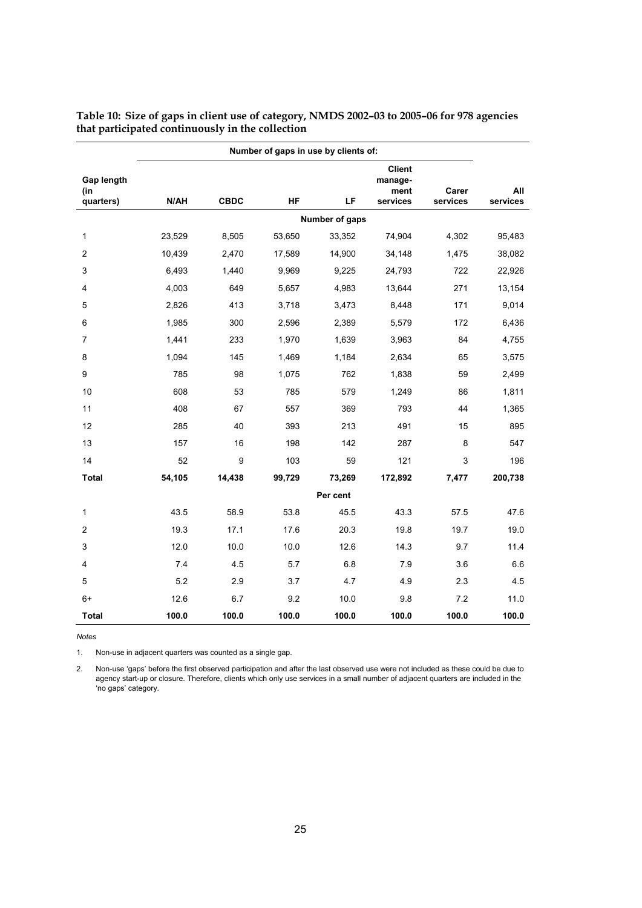|                                       |        |             |        | Number of gaps in use by clients of: |                                              |                   |                 |
|---------------------------------------|--------|-------------|--------|--------------------------------------|----------------------------------------------|-------------------|-----------------|
| <b>Gap length</b><br>(in<br>quarters) | N/AH   | <b>CBDC</b> | HF     | LF                                   | <b>Client</b><br>manage-<br>ment<br>services | Carer<br>services | All<br>services |
|                                       |        |             |        | Number of gaps                       |                                              |                   |                 |
| 1                                     | 23,529 | 8,505       | 53,650 | 33,352                               | 74,904                                       | 4,302             | 95,483          |
| $\overline{c}$                        | 10,439 | 2,470       | 17,589 | 14,900                               | 34,148                                       | 1,475             | 38,082          |
| 3                                     | 6,493  | 1,440       | 9,969  | 9,225                                | 24,793                                       | 722               | 22,926          |
| 4                                     | 4,003  | 649         | 5,657  | 4,983                                | 13,644                                       | 271               | 13,154          |
| 5                                     | 2,826  | 413         | 3,718  | 3,473                                | 8,448                                        | 171               | 9,014           |
| 6                                     | 1,985  | 300         | 2,596  | 2,389                                | 5,579                                        | 172               | 6,436           |
| $\overline{7}$                        | 1,441  | 233         | 1,970  | 1,639                                | 3,963                                        | 84                | 4,755           |
| 8                                     | 1,094  | 145         | 1,469  | 1,184                                | 2,634                                        | 65                | 3,575           |
| 9                                     | 785    | 98          | 1,075  | 762                                  | 1,838                                        | 59                | 2,499           |
| 10                                    | 608    | 53          | 785    | 579                                  | 1,249                                        | 86                | 1,811           |
| 11                                    | 408    | 67          | 557    | 369                                  | 793                                          | 44                | 1,365           |
| 12                                    | 285    | 40          | 393    | 213                                  | 491                                          | 15                | 895             |
| 13                                    | 157    | 16          | 198    | 142                                  | 287                                          | 8                 | 547             |
| 14                                    | 52     | 9           | 103    | 59                                   | 121                                          | 3                 | 196             |
| <b>Total</b>                          | 54,105 | 14,438      | 99,729 | 73,269                               | 172,892                                      | 7,477             | 200,738         |
|                                       |        |             |        | Per cent                             |                                              |                   |                 |
| 1                                     | 43.5   | 58.9        | 53.8   | 45.5                                 | 43.3                                         | 57.5              | 47.6            |
| $\overline{c}$                        | 19.3   | 17.1        | 17.6   | 20.3                                 | 19.8                                         | 19.7              | 19.0            |
| 3                                     | 12.0   | 10.0        | 10.0   | 12.6                                 | 14.3                                         | 9.7               | 11.4            |
| 4                                     | 7.4    | 4.5         | 5.7    | 6.8                                  | 7.9                                          | 3.6               | 6.6             |
| 5                                     | 5.2    | 2.9         | 3.7    | 4.7                                  | 4.9                                          | 2.3               | 4.5             |
| 6+                                    | 12.6   | 6.7         | 9.2    | 10.0                                 | 9.8                                          | 7.2               | 11.0            |
| <b>Total</b>                          | 100.0  | 100.0       | 100.0  | 100.0                                | 100.0                                        | 100.0             | 100.0           |

**Table 10: Size of gaps in client use of category, NMDS 2002–03 to 2005–06 for 978 agencies that participated continuously in the collection** 

*Notes*

1. Non-use in adjacent quarters was counted as a single gap.

2. Non-use 'gaps' before the first observed participation and after the last observed use were not included as these could be due to agency start-up or closure. Therefore, clients which only use services in a small number of adjacent quarters are included in the 'no gaps' category.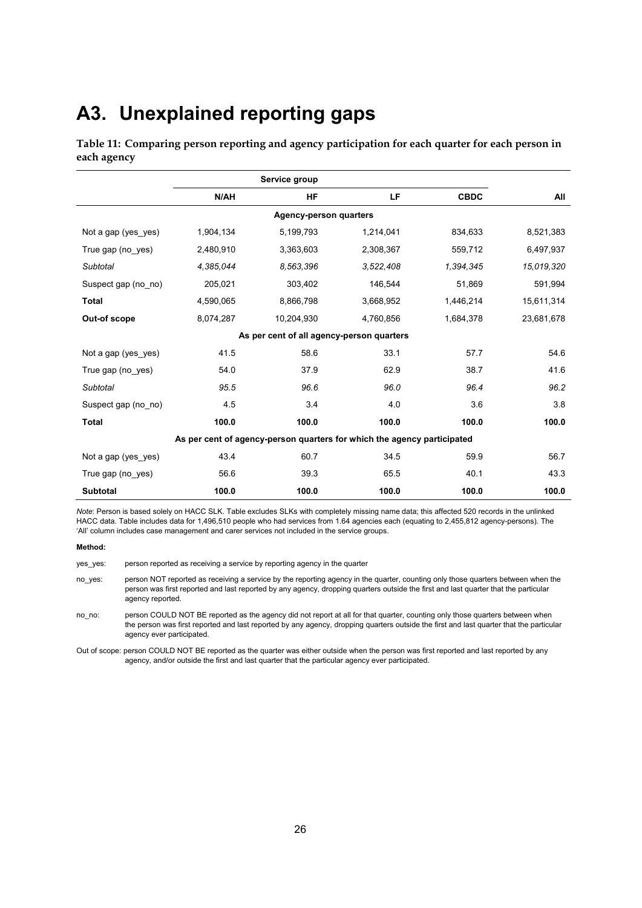#### **A3. Unexplained reporting gaps**

**Table 11: Comparing person reporting and agency participation for each quarter for each person in each agency** 

|                     |           | Service group |                                                                         |             |            |
|---------------------|-----------|---------------|-------------------------------------------------------------------------|-------------|------------|
|                     | N/AH      | <b>HF</b>     | LF.                                                                     | <b>CBDC</b> | All        |
|                     |           |               | <b>Agency-person quarters</b>                                           |             |            |
| Not a gap (yes_yes) | 1,904,134 | 5,199,793     | 1,214,041                                                               | 834,633     | 8,521,383  |
| True gap (no yes)   | 2,480,910 | 3,363,603     | 2,308,367                                                               | 559,712     | 6,497,937  |
| Subtotal            | 4,385,044 | 8.563.396     | 3.522,408                                                               | 1,394,345   | 15,019,320 |
| Suspect gap (no_no) | 205,021   | 303,402       | 146,544                                                                 | 51,869      | 591,994    |
| <b>Total</b>        | 4,590,065 | 8,866,798     | 3,668,952                                                               | 1,446,214   | 15,611,314 |
| Out-of scope        | 8,074,287 | 10,204,930    | 4,760,856                                                               | 1,684,378   | 23,681,678 |
|                     |           |               | As per cent of all agency-person quarters                               |             |            |
| Not a gap (yes yes) | 41.5      | 58.6          | 33.1                                                                    | 57.7        | 54.6       |
| True gap (no_yes)   | 54.0      | 37.9          | 62.9                                                                    | 38.7        | 41.6       |
| Subtotal            | 95.5      | 96.6          | 96.0                                                                    | 96.4        | 96.2       |
| Suspect gap (no no) | 4.5       | 3.4           | 4.0                                                                     | 3.6         | 3.8        |
| <b>Total</b>        | 100.0     | 100.0         | 100.0                                                                   | 100.0       | 100.0      |
|                     |           |               | As per cent of agency-person quarters for which the agency participated |             |            |
| Not a gap (yes yes) | 43.4      | 60.7          | 34.5                                                                    | 59.9        | 56.7       |
| True gap (no_yes)   | 56.6      | 39.3          | 65.5                                                                    | 40.1        | 43.3       |
| <b>Subtotal</b>     | 100.0     | 100.0         | 100.0                                                                   | 100.0       | 100.0      |

*Note*: Person is based solely on HACC SLK. Table excludes SLKs with completely missing name data; this affected 520 records in the unlinked HACC data. Table includes data for 1,496,510 people who had services from 1.64 agencies each (equating to 2,455,812 agency-persons). The 'All' column includes case management and carer services not included in the service groups.

**Method:** 

yes yes: person reported as receiving a service by reporting agency in the quarter

no\_yes: person NOT reported as receiving a service by the reporting agency in the quarter, counting only those quarters between when the person was first reported and last reported by any agency, dropping quarters outside the first and last quarter that the particular agency reported.

no\_no: person COULD NOT BE reported as the agency did not report at all for that quarter, counting only those quarters between when the person was first reported and last reported by any agency, dropping quarters outside the first and last quarter that the particular agency ever participated.

Out of scope: person COULD NOT BE reported as the quarter was either outside when the person was first reported and last reported by any agency, and/or outside the first and last quarter that the particular agency ever participated.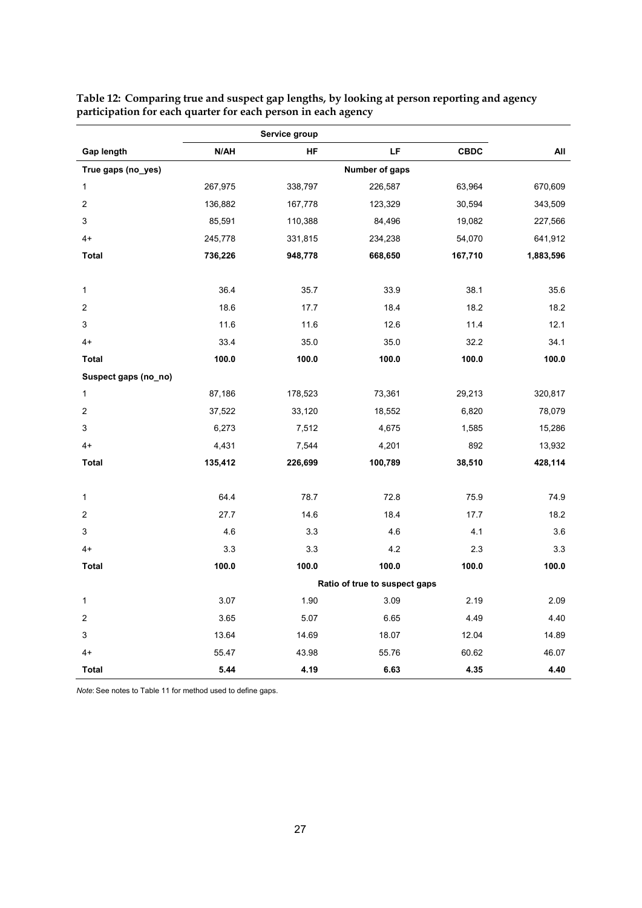|                      |         | Service group |                               |             |           |
|----------------------|---------|---------------|-------------------------------|-------------|-----------|
| Gap length           | N/AH    | HF            | LF                            | <b>CBDC</b> | All       |
| True gaps (no_yes)   |         |               | Number of gaps                |             |           |
| 1                    | 267,975 | 338,797       | 226,587                       | 63,964      | 670,609   |
| 2                    | 136,882 | 167,778       | 123,329                       | 30,594      | 343,509   |
| 3                    | 85,591  | 110,388       | 84,496                        | 19,082      | 227,566   |
| $4+$                 | 245,778 | 331,815       | 234,238                       | 54,070      | 641,912   |
| <b>Total</b>         | 736,226 | 948,778       | 668,650                       | 167,710     | 1,883,596 |
| 1                    | 36.4    | 35.7          | 33.9                          | 38.1        | 35.6      |
| 2                    | 18.6    | 17.7          | 18.4                          | 18.2        | 18.2      |
| 3                    | 11.6    | 11.6          | 12.6                          | 11.4        | 12.1      |
| $4+$                 | 33.4    | 35.0          | 35.0                          | 32.2        | 34.1      |
| <b>Total</b>         | 100.0   | 100.0         | 100.0                         | 100.0       | 100.0     |
| Suspect gaps (no_no) |         |               |                               |             |           |
| 1                    | 87,186  | 178,523       | 73,361                        | 29,213      | 320,817   |
| 2                    | 37,522  | 33,120        | 18,552                        | 6,820       | 78,079    |
| 3                    | 6,273   | 7,512         | 4,675                         | 1,585       | 15,286    |
| $4+$                 | 4,431   | 7,544         | 4,201                         | 892         | 13,932    |
| <b>Total</b>         | 135,412 | 226,699       | 100,789                       | 38,510      | 428,114   |
| 1                    | 64.4    | 78.7          | 72.8                          | 75.9        | 74.9      |
| 2                    | 27.7    | 14.6          | 18.4                          | 17.7        | 18.2      |
| 3                    | 4.6     | 3.3           | 4.6                           | 4.1         | 3.6       |
| $4+$                 | 3.3     | 3.3           | 4.2                           | 2.3         | 3.3       |
| <b>Total</b>         | 100.0   | 100.0         | 100.0                         | 100.0       | 100.0     |
|                      |         |               | Ratio of true to suspect gaps |             |           |
| 1                    | 3.07    | 1.90          | 3.09                          | 2.19        | 2.09      |
| 2                    | 3.65    | 5.07          | 6.65                          | 4.49        | 4.40      |
| 3                    | 13.64   | 14.69         | 18.07                         | 12.04       | 14.89     |
| $4+$                 | 55.47   | 43.98         | 55.76                         | 60.62       | 46.07     |
| <b>Total</b>         | 5.44    | 4.19          | 6.63                          | 4.35        | 4.40      |

**Table 12: Comparing true and suspect gap lengths, by looking at person reporting and agency participation for each quarter for each person in each agency** 

*Note*: See notes to Table 11 for method used to define gaps.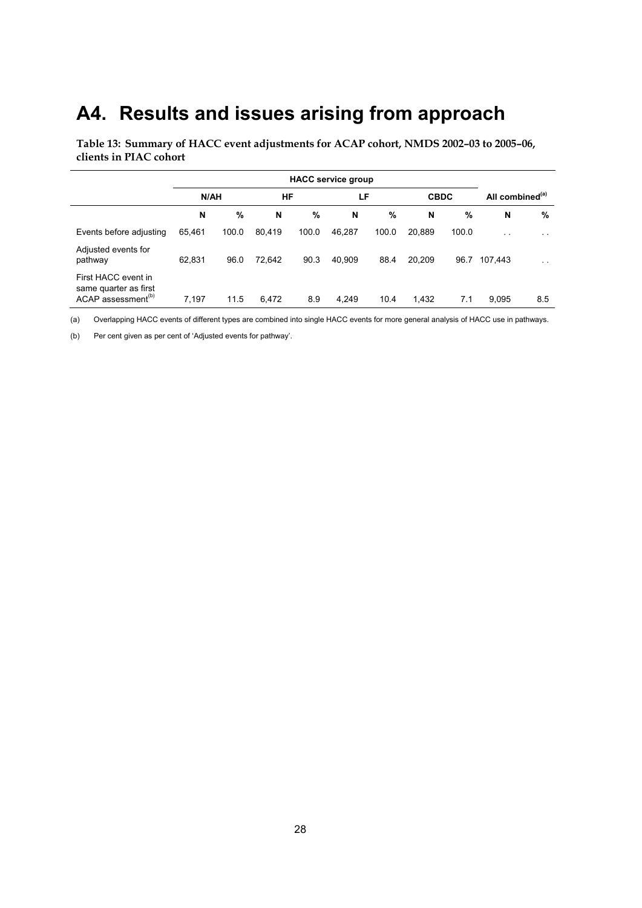### **A4. Results and issues arising from approach**

**Table 13: Summary of HACC event adjustments for ACAP cohort, NMDS 2002–03 to 2005–06, clients in PIAC cohort** 

|                                                                                |        | <b>HACC</b> service group |        |       |        |       |        |             |                      |                             |  |
|--------------------------------------------------------------------------------|--------|---------------------------|--------|-------|--------|-------|--------|-------------|----------------------|-----------------------------|--|
|                                                                                | N/AH   |                           |        | HF    |        | LF    |        | <b>CBDC</b> |                      | All combined <sup>(a)</sup> |  |
|                                                                                | N      | %                         | N      | %     | N      | %     | N      | %           | N                    | %                           |  |
| Events before adjusting                                                        | 65,461 | 100.0                     | 80,419 | 100.0 | 46,287 | 100.0 | 20.889 | 100.0       | $\ddot{\phantom{0}}$ | $\sim$                      |  |
| Adjusted events for<br>pathway                                                 | 62.831 | 96.0                      | 72.642 | 90.3  | 40.909 | 88.4  | 20.209 | 96.7        | 107.443              | $\ddot{\phantom{0}}$        |  |
| First HACC event in<br>same quarter as first<br>ACAP assessment <sup>(b)</sup> | 7.197  | 11.5                      | 6.472  | 8.9   | 4.249  | 10.4  | 1.432  | 7.1         | 9.095                | 8.5                         |  |

(a) Overlapping HACC events of different types are combined into single HACC events for more general analysis of HACC use in pathways.

(b) Per cent given as per cent of 'Adjusted events for pathway'.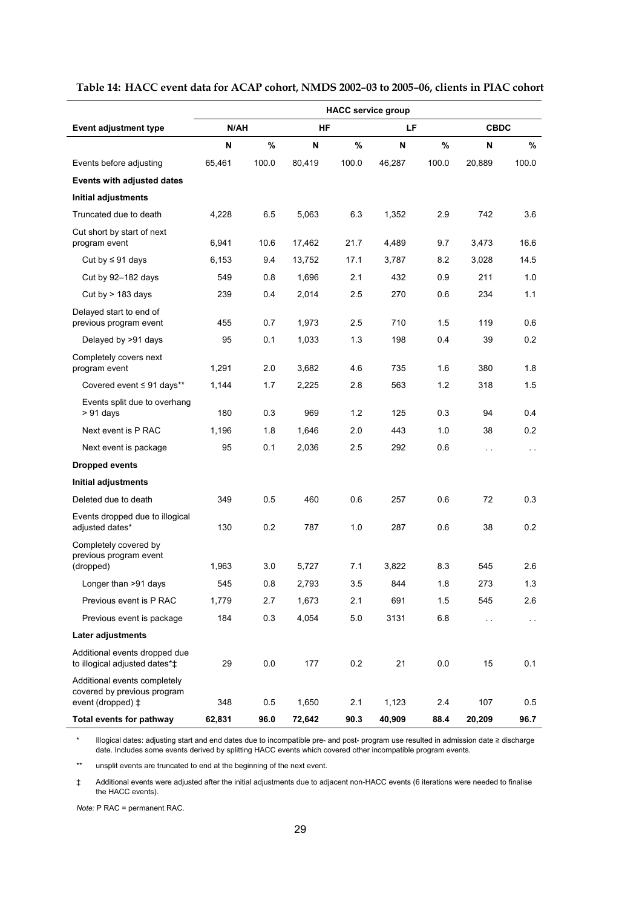|                                                                                  |        |       |        |       | <b>HACC</b> service group |       |             |               |
|----------------------------------------------------------------------------------|--------|-------|--------|-------|---------------------------|-------|-------------|---------------|
| <b>Event adjustment type</b>                                                     | N/AH   |       | ΗF     |       | LF                        |       | <b>CBDC</b> |               |
|                                                                                  | N      | $\%$  | N      | %     | N                         | %     | N           | %             |
| Events before adjusting                                                          | 65,461 | 100.0 | 80,419 | 100.0 | 46,287                    | 100.0 | 20,889      | 100.0         |
| Events with adjusted dates                                                       |        |       |        |       |                           |       |             |               |
| Initial adjustments                                                              |        |       |        |       |                           |       |             |               |
| Truncated due to death                                                           | 4,228  | 6.5   | 5.063  | 6.3   | 1,352                     | 2.9   | 742         | 3.6           |
| Cut short by start of next<br>program event                                      | 6,941  | 10.6  | 17,462 | 21.7  | 4,489                     | 9.7   | 3,473       | 16.6          |
| Cut by $\leq 91$ days                                                            | 6,153  | 9.4   | 13,752 | 17.1  | 3,787                     | 8.2   | 3,028       | 14.5          |
| Cut by 92-182 days                                                               | 549    | 0.8   | 1,696  | 2.1   | 432                       | 0.9   | 211         | 1.0           |
| Cut by $> 183$ days                                                              | 239    | 0.4   | 2,014  | 2.5   | 270                       | 0.6   | 234         | 1.1           |
| Delayed start to end of<br>previous program event                                | 455    | 0.7   | 1,973  | 2.5   | 710                       | 1.5   | 119         | 0.6           |
| Delayed by >91 days                                                              | 95     | 0.1   | 1,033  | 1.3   | 198                       | 0.4   | 39          | 0.2           |
| Completely covers next<br>program event                                          | 1,291  | 2.0   | 3,682  | 4.6   | 735                       | 1.6   | 380         | 1.8           |
| Covered event ≤ 91 days**                                                        | 1,144  | 1.7   | 2,225  | 2.8   | 563                       | 1.2   | 318         | 1.5           |
| Events split due to overhang<br>> 91 days                                        | 180    | 0.3   | 969    | 1.2   | 125                       | 0.3   | 94          | 0.4           |
| Next event is P RAC                                                              | 1,196  | 1.8   | 1,646  | 2.0   | 443                       | 1.0   | 38          | 0.2           |
| Next event is package                                                            | 95     | 0.1   | 2,036  | 2.5   | 292                       | 0.6   | i.          | $\sim$ $\sim$ |
| <b>Dropped events</b>                                                            |        |       |        |       |                           |       |             |               |
| Initial adjustments                                                              |        |       |        |       |                           |       |             |               |
| Deleted due to death                                                             | 349    | 0.5   | 460    | 0.6   | 257                       | 0.6   | 72          | 0.3           |
| Events dropped due to illogical<br>adjusted dates*                               | 130    | 0.2   | 787    | 1.0   | 287                       | 0.6   | 38          | 0.2           |
| Completely covered by<br>previous program event<br>(dropped)                     | 1,963  | 3.0   | 5,727  | 7.1   | 3,822                     | 8.3   | 545         | 2.6           |
| Longer than >91 days                                                             | 545    | 0.8   | 2,793  | 3.5   | 844                       | 1.8   | 273         | 1.3           |
| Previous event is P RAC                                                          | 1,779  | 2.7   | 1,673  | 2.1   | 691                       | 1.5   | 545         | 2.6           |
| Previous event is package                                                        | 184    | 0.3   | 4,054  | 5.0   | 3131                      | 6.8   | И.          | $\sim$        |
| Later adjustments                                                                |        |       |        |       |                           |       |             |               |
| Additional events dropped due<br>to illogical adjusted dates*‡                   | 29     | 0.0   | 177    | 0.2   | 21                        | 0.0   | 15          | 0.1           |
| Additional events completely<br>covered by previous program<br>event (dropped) ‡ | 348    | 0.5   | 1,650  | 2.1   | 1,123                     | 2.4   | 107         | 0.5           |
| <b>Total events for pathway</b>                                                  | 62,831 | 96.0  | 72,642 | 90.3  | 40,909                    | 88.4  | 20,209      | 96.7          |

#### **Table 14: HACC event data for ACAP cohort, NMDS 2002–03 to 2005–06, clients in PIAC cohort**

\* Illogical dates: adjusting start and end dates due to incompatible pre- and post- program use resulted in admission date ≥ discharge date. Includes some events derived by splitting HACC events which covered other incompatible program events.

\*\* unsplit events are truncated to end at the beginning of the next event.

‡ Additional events were adjusted after the initial adjustments due to adjacent non-HACC events (6 iterations were needed to finalise the HACC events).

*Note:* P RAC = permanent RAC.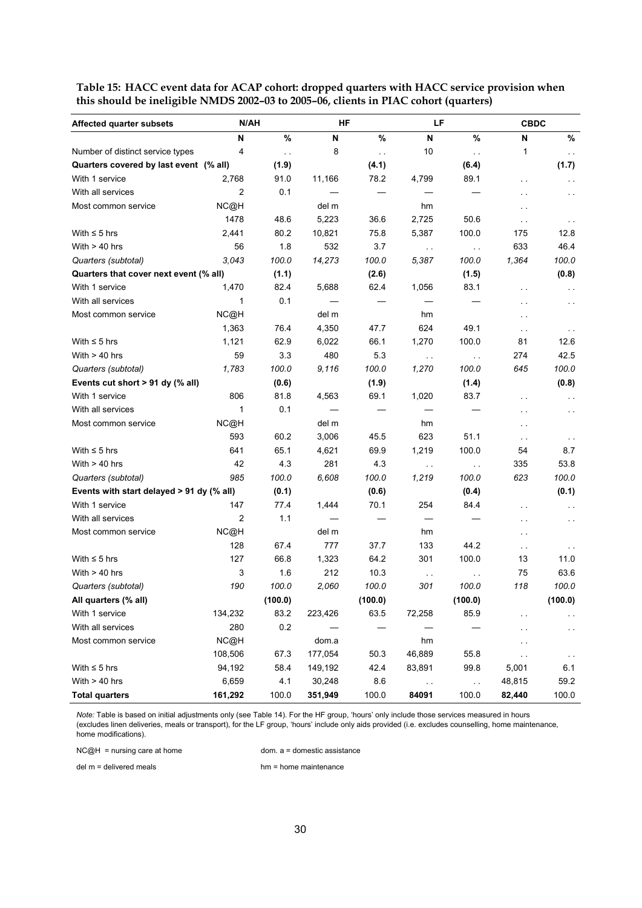| Table 15: HACC event data for ACAP cohort: dropped quarters with HACC service provision when |  |
|----------------------------------------------------------------------------------------------|--|
| this should be ineligible NMDS 2002-03 to 2005-06, clients in PIAC cohort (quarters)         |  |

| <b>Affected quarter subsets</b>           | N/AH    |               | <b>HF</b> |                     | LF            |                       | <b>CBDC</b>          |               |
|-------------------------------------------|---------|---------------|-----------|---------------------|---------------|-----------------------|----------------------|---------------|
|                                           | N       | $\%$          | N         | %                   | N             | $\%$                  | N                    | %             |
| Number of distinct service types          | 4       | $\bar{\nu}$ . | 8         | $\hat{\mathcal{L}}$ | 10            | $\bar{\mathcal{L}}$ . | 1                    | $\sim$        |
| Quarters covered by last event (% all)    |         | (1.9)         |           | (4.1)               |               | (6.4)                 |                      | (1.7)         |
| With 1 service                            | 2,768   | 91.0          | 11,166    | 78.2                | 4,799         | 89.1                  | $\sim$ $\sim$        | $\ddotsc$     |
| With all services                         | 2       | 0.1           |           |                     |               |                       | $\ddotsc$            | . .           |
| Most common service                       | NC@H    |               | del m     |                     | hm            |                       | $\ddot{\phantom{1}}$ |               |
|                                           | 1478    | 48.6          | 5,223     | 36.6                | 2,725         | 50.6                  | $\sim$ $\sim$        | $\sim$ $\sim$ |
| With $\leq$ 5 hrs                         | 2,441   | 80.2          | 10,821    | 75.8                | 5,387         | 100.0                 | 175                  | 12.8          |
| With $> 40$ hrs                           | 56      | 1.8           | 532       | 3.7                 | $\sim$ $\sim$ | $\sim$                | 633                  | 46.4          |
| Quarters (subtotal)                       | 3,043   | 100.0         | 14,273    | 100.0               | 5,387         | 100.0                 | 1,364                | 100.0         |
| Quarters that cover next event (% all)    |         | (1.1)         |           | (2.6)               |               | (1.5)                 |                      | (0.8)         |
| With 1 service                            | 1,470   | 82.4          | 5,688     | 62.4                | 1,056         | 83.1                  | $\ddot{\phantom{0}}$ | $\sim$ $\sim$ |
| With all services                         | 1       | 0.1           |           |                     |               |                       | $\sim$               | $\sim$        |
| Most common service                       | NC@H    |               | del m     |                     | hm            |                       | $\sim$ $\sim$        |               |
|                                           | 1,363   | 76.4          | 4,350     | 47.7                | 624           | 49.1                  | $\sim$               | $\sim$ $\sim$ |
| With $\leq$ 5 hrs                         | 1,121   | 62.9          | 6,022     | 66.1                | 1,270         | 100.0                 | 81                   | 12.6          |
| With $> 40$ hrs                           | 59      | 3.3           | 480       | 5.3                 | $\sim$ $\sim$ | $\sim$ .              | 274                  | 42.5          |
| Quarters (subtotal)                       | 1,783   | 100.0         | 9,116     | 100.0               | 1,270         | 100.0                 | 645                  | 100.0         |
| Events cut short > 91 dy (% all)          |         | (0.6)         |           | (1.9)               |               | (1.4)                 |                      | (0.8)         |
| With 1 service                            | 806     | 81.8          | 4,563     | 69.1                | 1,020         | 83.7                  | $\sim$               | $\sim$ $\sim$ |
| With all services                         | 1       | 0.1           |           |                     |               |                       | $\sim$               | $\sim$ $\sim$ |
| Most common service                       | NC@H    |               | del m     |                     | hm            |                       | $\ddot{\phantom{1}}$ |               |
|                                           | 593     | 60.2          | 3,006     | 45.5                | 623           | 51.1                  | $\sim$               | $\sim$        |
| With $\leq$ 5 hrs                         | 641     | 65.1          | 4,621     | 69.9                | 1,219         | 100.0                 | 54                   | 8.7           |
| With $> 40$ hrs                           | 42      | 4.3           | 281       | 4.3                 | $\sim$ $\sim$ | $\sim$                | 335                  | 53.8          |
| Quarters (subtotal)                       | 985     | 100.0         | 6,608     | 100.0               | 1,219         | 100.0                 | 623                  | 100.0         |
| Events with start delayed > 91 dy (% all) |         | (0.1)         |           | (0.6)               |               | (0.4)                 |                      | (0.1)         |
| With 1 service                            | 147     | 77.4          | 1,444     | 70.1                | 254           | 84.4                  | $\sim$ $\sim$        |               |
| With all services                         | 2       | 1.1           |           |                     |               |                       | $\ddotsc$            | $\sim$ $\sim$ |
| Most common service                       | NC@H    |               | del m     |                     | hm            |                       | $\sim$               |               |
|                                           | 128     | 67.4          | 777       | 37.7                | 133           | 44.2                  | $\sim$               |               |
| With $\leq$ 5 hrs                         | 127     | 66.8          | 1,323     | 64.2                | 301           | 100.0                 | 13                   | 11.0          |
| With $> 40$ hrs                           | 3       | 1.6           | 212       | 10.3                | $\sim$        | $\sim$                | 75                   | 63.6          |
| Quarters (subtotal)                       | 190     | 100.0         | 2,060     | 100.0               | 301           | 100.0                 | 118                  | 100.0         |
| All quarters (% all)                      |         | (100.0)       |           | (100.0)             |               | (100.0)               |                      | (100.0)       |
| With 1 service                            | 134,232 | 83.2          | 223,426   | 63.5                | 72,258        | 85.9                  | $\sim$ $\sim$        |               |
| With all services                         | 280     | 0.2           |           |                     |               |                       | $\ddot{\phantom{1}}$ | н.            |
| Most common service                       | NC@H    |               | dom.a     |                     | hm            |                       | $\ddot{\phantom{1}}$ |               |
|                                           | 108,506 | 67.3          | 177,054   | 50.3                | 46,889        | 55.8                  | $\sim$               | $\sim$ $\sim$ |
| With $\leq$ 5 hrs                         | 94,192  | 58.4          | 149,192   | 42.4                | 83,891        | 99.8                  | 5,001                | 6.1           |
| With $> 40$ hrs                           | 6,659   | 4.1           | 30,248    | 8.6                 | $\epsilon$ .  | $\bar{\nu}$ .         | 48,815               | 59.2          |
| <b>Total quarters</b>                     | 161,292 | 100.0         | 351,949   | 100.0               | 84091         | 100.0                 | 82,440               | 100.0         |

*Note:* Table is based on initial adjustments only (see Table 14). For the HF group, 'hours' only include those services measured in hours (excludes linen deliveries, meals or transport), for the LF group, 'hours' include only aids provided (i.e. excludes counselling, home maintenance, home modifications).

 $NC@H =$  nursing care at home dom. a = domestic assistance

del m = delivered meals hm = home maintenance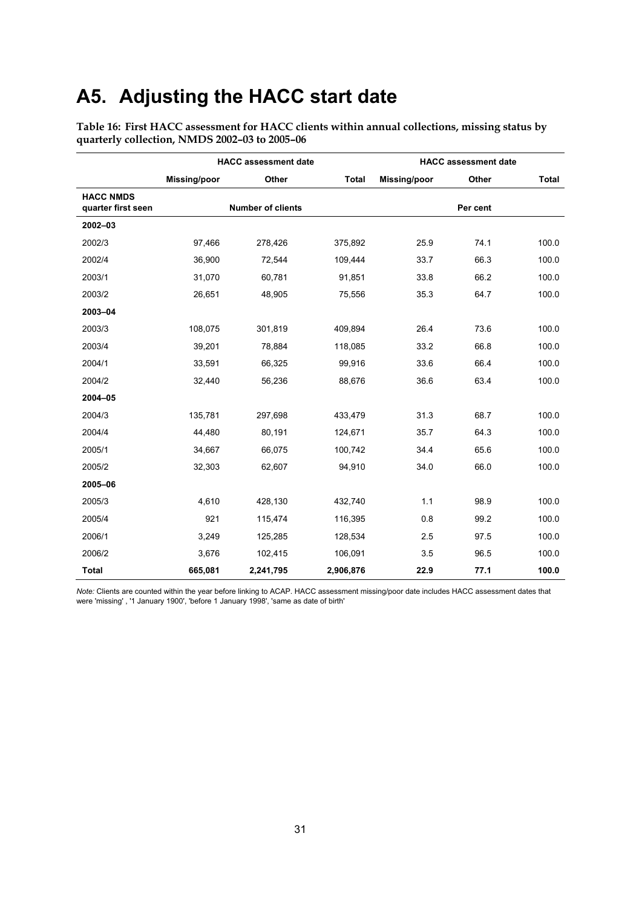### **A5. Adjusting the HACC start date**

**Table 16: First HACC assessment for HACC clients within annual collections, missing status by quarterly collection, NMDS 2002–03 to 2005–06** 

|                                        | <b>HACC</b> assessment date |                          |              | <b>HACC</b> assessment date |          |              |  |
|----------------------------------------|-----------------------------|--------------------------|--------------|-----------------------------|----------|--------------|--|
|                                        | <b>Missing/poor</b>         | Other                    | <b>Total</b> | <b>Missing/poor</b>         | Other    | <b>Total</b> |  |
| <b>HACC NMDS</b><br>quarter first seen |                             | <b>Number of clients</b> |              |                             | Per cent |              |  |
| $2002 - 03$                            |                             |                          |              |                             |          |              |  |
| 2002/3                                 | 97,466                      | 278,426                  | 375,892      | 25.9                        | 74.1     | 100.0        |  |
| 2002/4                                 | 36,900                      | 72,544                   | 109,444      | 33.7                        | 66.3     | 100.0        |  |
| 2003/1                                 | 31,070                      | 60,781                   | 91,851       | 33.8                        | 66.2     | 100.0        |  |
| 2003/2                                 | 26,651                      | 48,905                   | 75,556       | 35.3                        | 64.7     | 100.0        |  |
| 2003-04                                |                             |                          |              |                             |          |              |  |
| 2003/3                                 | 108,075                     | 301,819                  | 409,894      | 26.4                        | 73.6     | 100.0        |  |
| 2003/4                                 | 39,201                      | 78,884                   | 118,085      | 33.2                        | 66.8     | 100.0        |  |
| 2004/1                                 | 33,591                      | 66,325                   | 99,916       | 33.6                        | 66.4     | 100.0        |  |
| 2004/2                                 | 32,440                      | 56,236                   | 88,676       | 36.6                        | 63.4     | 100.0        |  |
| 2004-05                                |                             |                          |              |                             |          |              |  |
| 2004/3                                 | 135,781                     | 297,698                  | 433,479      | 31.3                        | 68.7     | 100.0        |  |
| 2004/4                                 | 44,480                      | 80,191                   | 124,671      | 35.7                        | 64.3     | 100.0        |  |
| 2005/1                                 | 34,667                      | 66,075                   | 100,742      | 34.4                        | 65.6     | 100.0        |  |
| 2005/2                                 | 32,303                      | 62,607                   | 94,910       | 34.0                        | 66.0     | 100.0        |  |
| 2005-06                                |                             |                          |              |                             |          |              |  |
| 2005/3                                 | 4,610                       | 428,130                  | 432,740      | 1.1                         | 98.9     | 100.0        |  |
| 2005/4                                 | 921                         | 115,474                  | 116,395      | 0.8                         | 99.2     | 100.0        |  |
| 2006/1                                 | 3,249                       | 125,285                  | 128,534      | 2.5                         | 97.5     | 100.0        |  |
| 2006/2                                 | 3,676                       | 102,415                  | 106,091      | 3.5                         | 96.5     | 100.0        |  |
| <b>Total</b>                           | 665,081                     | 2,241,795                | 2,906,876    | 22.9                        | 77.1     | 100.0        |  |

*Note:* Clients are counted within the year before linking to ACAP. HACC assessment missing/poor date includes HACC assessment dates that were 'missing' , '1 January 1900', 'before 1 January 1998', 'same as date of birth'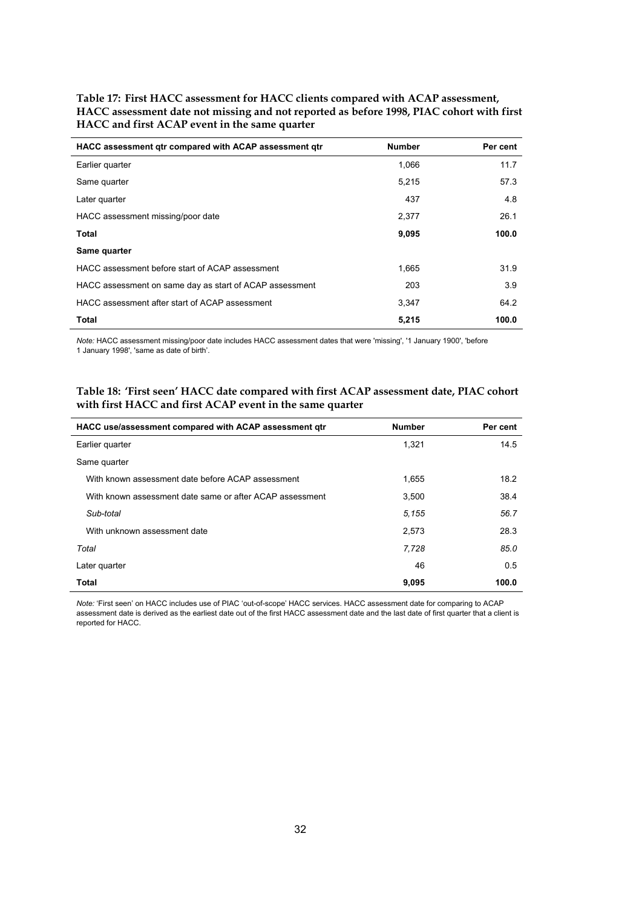| HACC assessment qtr compared with ACAP assessment qtr   | <b>Number</b> | Per cent |
|---------------------------------------------------------|---------------|----------|
| Earlier quarter                                         | 1,066         | 11.7     |
| Same quarter                                            | 5,215         | 57.3     |
| Later quarter                                           | 437           | 4.8      |
| HACC assessment missing/poor date                       | 2.377         | 26.1     |
| Total                                                   | 9,095         | 100.0    |
| Same quarter                                            |               |          |
| HACC assessment before start of ACAP assessment         | 1,665         | 31.9     |
| HACC assessment on same day as start of ACAP assessment | 203           | 3.9      |
| HACC assessment after start of ACAP assessment          | 3.347         | 64.2     |
| <b>Total</b>                                            | 5,215         | 100.0    |

**Table 17: First HACC assessment for HACC clients compared with ACAP assessment, HACC assessment date not missing and not reported as before 1998, PIAC cohort with first HACC and first ACAP event in the same quarter** 

*Note:* HACC assessment missing/poor date includes HACC assessment dates that were 'missing', '1 January 1900', 'before 1 January 1998', 'same as date of birth'.

#### **Table 18: 'First seen' HACC date compared with first ACAP assessment date, PIAC cohort with first HACC and first ACAP event in the same quarter**

| HACC use/assessment compared with ACAP assessment qtr    | <b>Number</b> | Per cent |
|----------------------------------------------------------|---------------|----------|
| Earlier quarter                                          | 1.321         | 14.5     |
| Same quarter                                             |               |          |
| With known assessment date before ACAP assessment        | 1.655         | 18.2     |
| With known assessment date same or after ACAP assessment | 3.500         | 38.4     |
| Sub-total                                                | 5,155         | 56.7     |
| With unknown assessment date                             | 2,573         | 28.3     |
| Total                                                    | 7,728         | 85.0     |
| Later quarter                                            | 46            | 0.5      |
| <b>Total</b>                                             | 9,095         | 100.0    |

*Note:* 'First seen' on HACC includes use of PIAC 'out-of-scope' HACC services. HACC assessment date for comparing to ACAP assessment date is derived as the earliest date out of the first HACC assessment date and the last date of first quarter that a client is reported for HACC.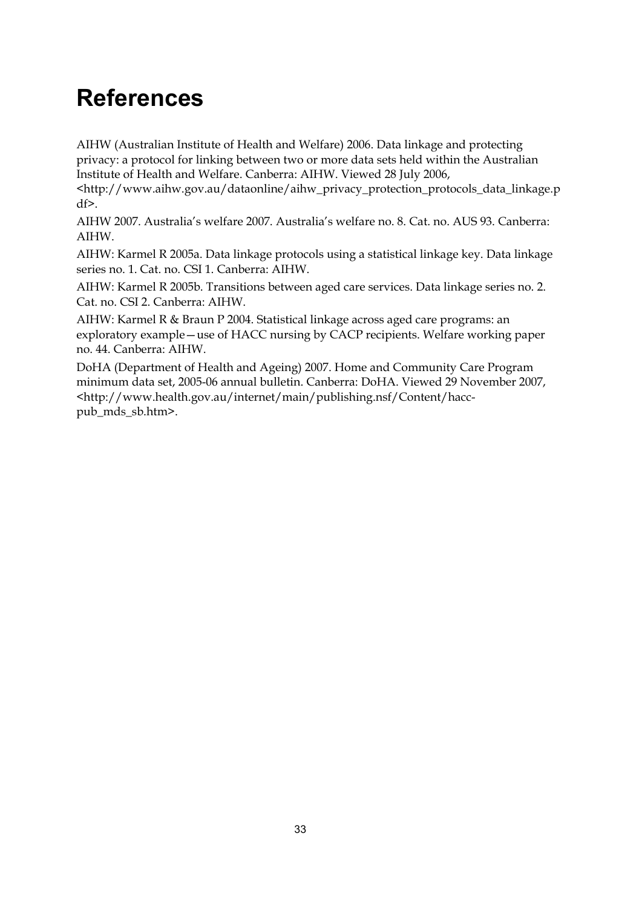## **References**

AIHW (Australian Institute of Health and Welfare) 2006. Data linkage and protecting privacy: a protocol for linking between two or more data sets held within the Australian Institute of Health and Welfare. Canberra: AIHW. Viewed 28 July 2006,

<http://www.aihw.gov.au/dataonline/aihw\_privacy\_protection\_protocols\_data\_linkage.p  $df$  $>$ .

AIHW 2007. Australia's welfare 2007. Australia's welfare no. 8. Cat. no. AUS 93. Canberra: AIHW.

AIHW: Karmel R 2005a. Data linkage protocols using a statistical linkage key. Data linkage series no. 1. Cat. no. CSI 1. Canberra: AIHW.

AIHW: Karmel R 2005b. Transitions between aged care services. Data linkage series no. 2. Cat. no. CSI 2. Canberra: AIHW.

AIHW: Karmel R & Braun P 2004. Statistical linkage across aged care programs: an exploratory example—use of HACC nursing by CACP recipients. Welfare working paper no. 44. Canberra: AIHW.

DoHA (Department of Health and Ageing) 2007. Home and Community Care Program minimum data set, 2005-06 annual bulletin. Canberra: DoHA. Viewed 29 November 2007, <http://www.health.gov.au/internet/main/publishing.nsf/Content/haccpub\_mds\_sb.htm>.